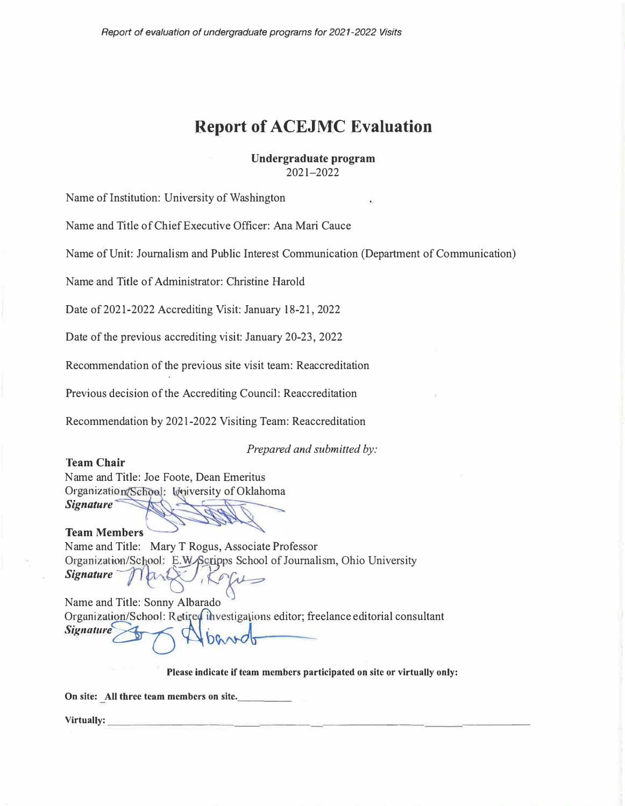# **Report of ACEJMC Evaluation**

**Undergraduate program**  2021-2022

Name of Institution: University of Washington

Name and Title of Chief Executive Officer: Ana Mari Cauce

Name of Unit: Journalism and Public Interest Communication (Department of Communication)

Name and Title of Administrator: Christine Harold

Date of 2021-2022 Accrediting Visit: January 18-21, 2022

Date of the previous accrediting visit: January 20-23, 2022

Recommendation of the previous site visit team: Reaccreditation

Previous decision of the Accrediting Council: Reaccreditation

Recommendation by 2021-2022 Visiting Team: Reaccreditation

*Prepared and submitted by:* 

**Team Chair**  Name and Title: Joe Foote, Dean Emeritus Organization (School: University of Oklahoma *Signature* 

**Team Members**  Name and Title: Mary T Rogus, Associate Professor Organization/School: E.W. Scripps School of Journalism, Ohio University *Signature* 

Name and Title: Sonny Albarado Organization/School: Retired investigations editor; freelance editorial consultant<br>Signature Signature

**Please indicate if team members participated on site or virtually only:** 

**On site:** All three team members on site.

**Virtually: \_\_\_\_\_\_\_\_\_\_ \_\_\_\_ \_\_\_\_\_\_\_\_ \_\_\_\_\_**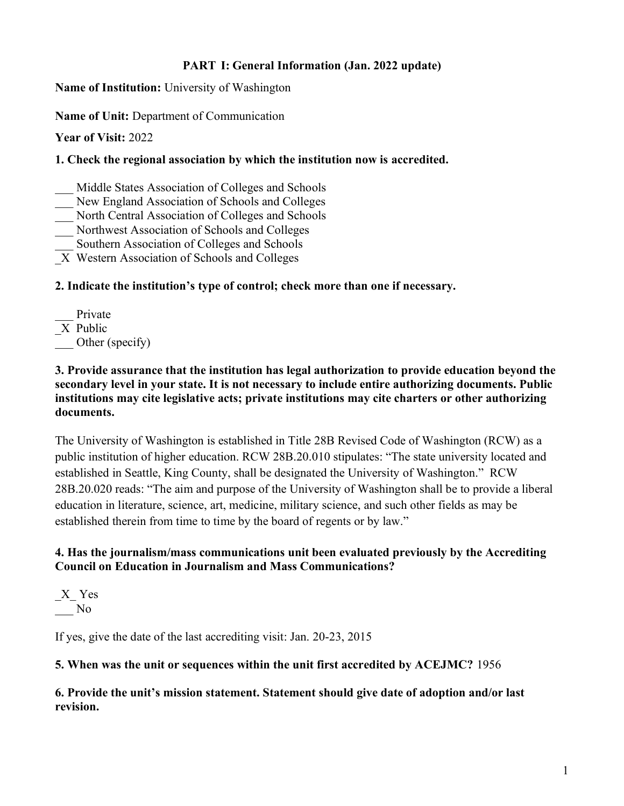## **PART I: General Information (Jan. 2022 update)**

**Name of Institution:** University of Washington

**Name of Unit:** Department of Communication

**Year of Visit:** 2022

## **1. Check the regional association by which the institution now is accredited.**

- Middle States Association of Colleges and Schools
- New England Association of Schools and Colleges
- North Central Association of Colleges and Schools
- \_\_\_ Northwest Association of Schools and Colleges
- Southern Association of Colleges and Schools
- \_X Western Association of Schools and Colleges

## **2. Indicate the institution's type of control; check more than one if necessary.**

Private \_X Public Other (specify)

### **3. Provide assurance that the institution has legal authorization to provide education beyond the secondary level in your state. It is not necessary to include entire authorizing documents. Public institutions may cite legislative acts; private institutions may cite charters or other authorizing documents.**

The University of Washington is established in Title 28B Revised Code of Washington (RCW) as a public institution of higher education. RCW 28B.20.010 stipulates: "The state university located and established in Seattle, King County, shall be designated the University of Washington." RCW 28B.20.020 reads: "The aim and purpose of the University of Washington shall be to provide a liberal education in literature, science, art, medicine, military science, and such other fields as may be established therein from time to time by the board of regents or by law."

## **4. Has the journalism/mass communications unit been evaluated previously by the Accrediting Council on Education in Journalism and Mass Communications?**

\_X\_ Yes \_\_\_ No

If yes, give the date of the last accrediting visit: Jan. 20-23, 2015

## **5. When was the unit or sequences within the unit first accredited by ACEJMC?** 1956

**6. Provide the unit's mission statement. Statement should give date of adoption and/or last revision.**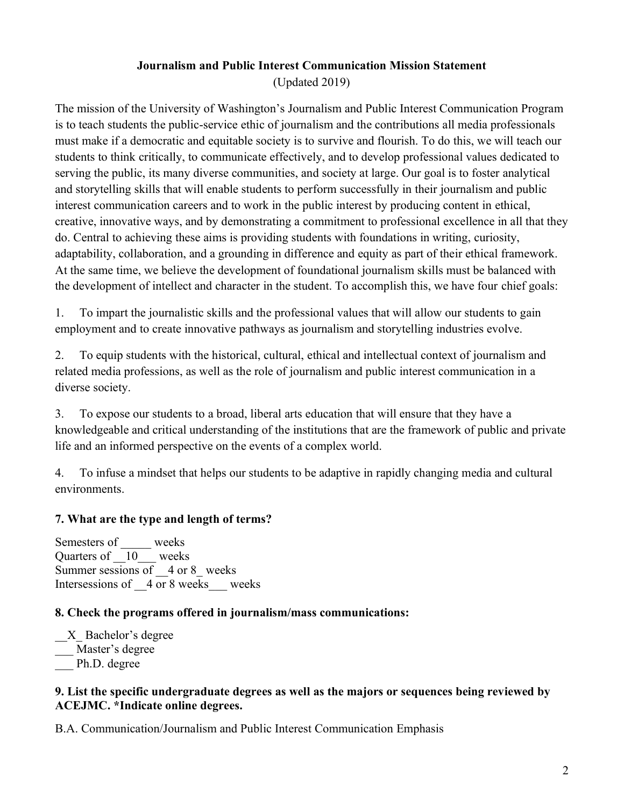## **Journalism and Public Interest Communication Mission Statement**

(Updated 2019)

The mission of the University of Washington's Journalism and Public Interest Communication Program is to teach students the public-service ethic of journalism and the contributions all media professionals must make if a democratic and equitable society is to survive and flourish. To do this, we will teach our students to think critically, to communicate effectively, and to develop professional values dedicated to serving the public, its many diverse communities, and society at large. Our goal is to foster analytical and storytelling skills that will enable students to perform successfully in their journalism and public interest communication careers and to work in the public interest by producing content in ethical, creative, innovative ways, and by demonstrating a commitment to professional excellence in all that they do. Central to achieving these aims is providing students with foundations in writing, curiosity, adaptability, collaboration, and a grounding in difference and equity as part of their ethical framework. At the same time, we believe the development of foundational journalism skills must be balanced with the development of intellect and character in the student. To accomplish this, we have four chief goals:

1. To impart the journalistic skills and the professional values that will allow our students to gain employment and to create innovative pathways as journalism and storytelling industries evolve.

2. To equip students with the historical, cultural, ethical and intellectual context of journalism and related media professions, as well as the role of journalism and public interest communication in a diverse society.

3. To expose our students to a broad, liberal arts education that will ensure that they have a knowledgeable and critical understanding of the institutions that are the framework of public and private life and an informed perspective on the events of a complex world.

4. To infuse a mindset that helps our students to be adaptive in rapidly changing media and cultural environments.

## **7. What are the type and length of terms?**

Semesters of \_\_\_\_\_ weeks Quarters of \_\_10\_\_\_ weeks Summer sessions of  $\,$  4 or 8 weeks Intersessions of  $\,$  4 or 8 weeks weeks

## **8. Check the programs offered in journalism/mass communications:**

\_\_X\_ Bachelor's degree \_\_\_ Master's degree Ph.D. degree

## **9. List the specific undergraduate degrees as well as the majors or sequences being reviewed by ACEJMC. \*Indicate online degrees.**

B.A. Communication/Journalism and Public Interest Communication Emphasis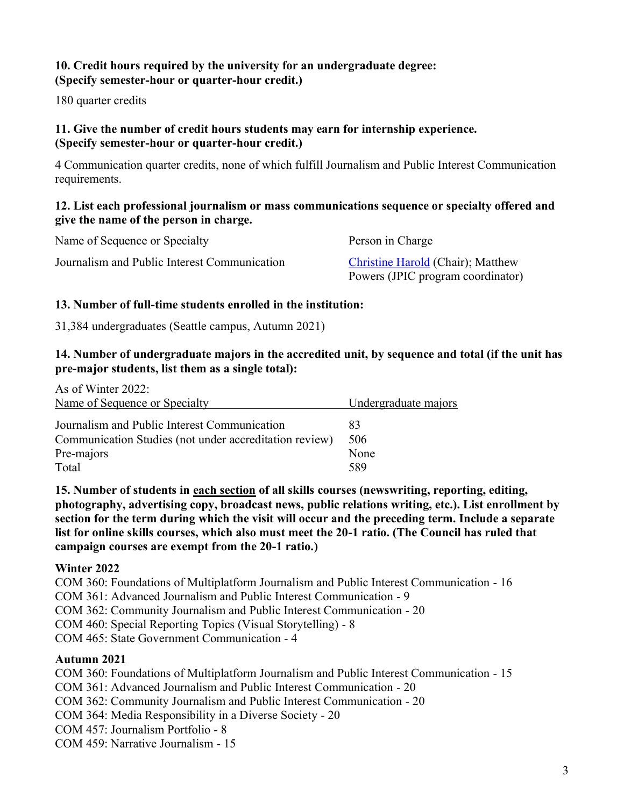## **10. Credit hours required by the university for an undergraduate degree: (Specify semester-hour or quarter-hour credit.)**

180 quarter credits

## **11. Give the number of credit hours students may earn for internship experience. (Specify semester-hour or quarter-hour credit.)**

4 Communication quarter credits, none of which fulfill Journalism and Public Interest Communication requirements.

#### **12. List each professional journalism or mass communications sequence or specialty offered and give the name of the person in charge.**

| Name of Sequence or Specialty                | Person in Charge                                                       |
|----------------------------------------------|------------------------------------------------------------------------|
| Journalism and Public Interest Communication | Christine Harold (Chair); Matthew<br>Powers (JPIC program coordinator) |

## **13. Number of full-time students enrolled in the institution:**

31,384 undergraduates (Seattle campus, Autumn 2021)

## **14. Number of undergraduate majors in the accredited unit, by sequence and total (if the unit has pre-major students, list them as a single total):**

| As of Winter 2022:                                     |                      |
|--------------------------------------------------------|----------------------|
| Name of Sequence or Specialty                          | Undergraduate majors |
| Journalism and Public Interest Communication           | 83                   |
| Communication Studies (not under accreditation review) | 506                  |
| Pre-majors                                             | None                 |
| Total                                                  | 589                  |

**15. Number of students in each section of all skills courses (newswriting, reporting, editing, photography, advertising copy, broadcast news, public relations writing, etc.). List enrollment by section for the term during which the visit will occur and the preceding term. Include a separate list for online skills courses, which also must meet the 20-1 ratio. (The Council has ruled that campaign courses are exempt from the 20-1 ratio.)**

## **Winter 2022**

COM 360: Foundations of Multiplatform Journalism and Public Interest Communication - 16

COM 361: Advanced Journalism and Public Interest Communication - 9

COM 362: Community Journalism and Public Interest Communication - 20

COM 460: Special Reporting Topics (Visual Storytelling) - 8

COM 465: State Government Communication - 4

## **Autumn 2021**

COM 360: Foundations of Multiplatform Journalism and Public Interest Communication - 15 COM 361: Advanced Journalism and Public Interest Communication - 20 COM 362: Community Journalism and Public Interest Communication - 20 COM 364: Media Responsibility in a Diverse Society - 20 COM 457: Journalism Portfolio - 8

COM 459: Narrative Journalism - 15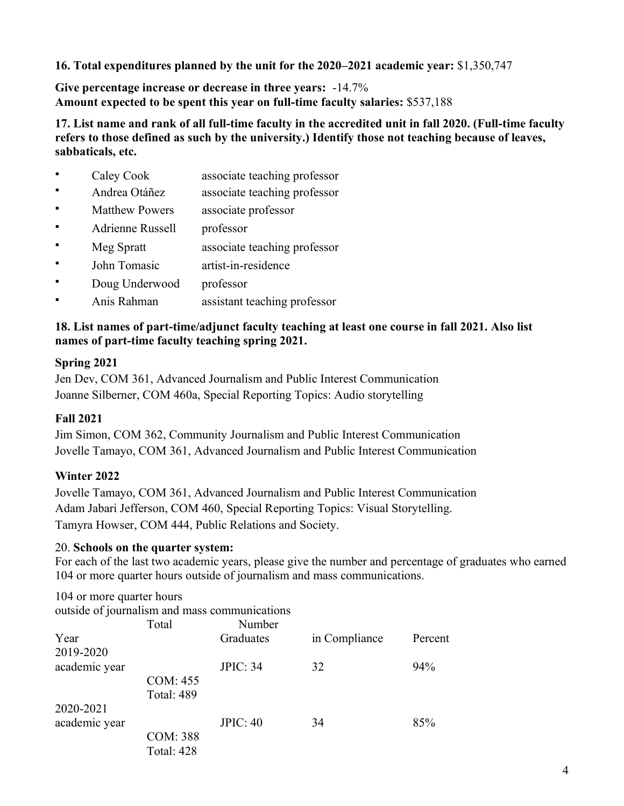**16. Total expenditures planned by the unit for the 2020–2021 academic year:** \$1,350,747

**Give percentage increase or decrease in three years:** -14.7% **Amount expected to be spent this year on full-time faculty salaries:** \$537,188

**17. List name and rank of all full-time faculty in the accredited unit in fall 2020. (Full-time faculty refers to those defined as such by the university.) Identify those not teaching because of leaves, sabbaticals, etc.**

- Caley Cook associate teaching professor
- Andrea Otáñez associate teaching professor
- Matthew Powers associate professor
- Adrienne Russell professor
- Meg Spratt associate teaching professor
- John Tomasic artist-in-residence
- Doug Underwood professor
- Anis Rahman assistant teaching professor

## **18. List names of part-time/adjunct faculty teaching at least one course in fall 2021. Also list names of part-time faculty teaching spring 2021.**

## **Spring 2021**

Jen Dev, COM 361, Advanced Journalism and Public Interest Communication Joanne Silberner, COM 460a, Special Reporting Topics: Audio storytelling

## **Fall 2021**

Jim Simon, COM 362, Community Journalism and Public Interest Communication Jovelle Tamayo, COM 361, Advanced Journalism and Public Interest Communication

## **Winter 2022**

Jovelle Tamayo, COM 361, Advanced Journalism and Public Interest Communication Adam Jabari Jefferson, COM 460, Special Reporting Topics: Visual Storytelling. Tamyra Howser, COM 444, Public Relations and Society.

## 20. **Schools on the quarter system:**

For each of the last two academic years, please give the number and percentage of graduates who earned 104 or more quarter hours outside of journalism and mass communications.

104 or more quarter hours

outside of journalism and mass communications

|                   | Total             | Number          |               |         |
|-------------------|-------------------|-----------------|---------------|---------|
| Year<br>2019-2020 |                   | Graduates       | in Compliance | Percent |
| academic year     |                   | <b>JPIC: 34</b> | 32            | 94%     |
|                   | COM: 455          |                 |               |         |
|                   | <b>Total: 489</b> |                 |               |         |
| 2020-2021         |                   |                 |               |         |
| academic year     |                   | <b>JPIC: 40</b> | 34            | 85%     |
|                   | <b>COM: 388</b>   |                 |               |         |
|                   | <b>Total: 428</b> |                 |               |         |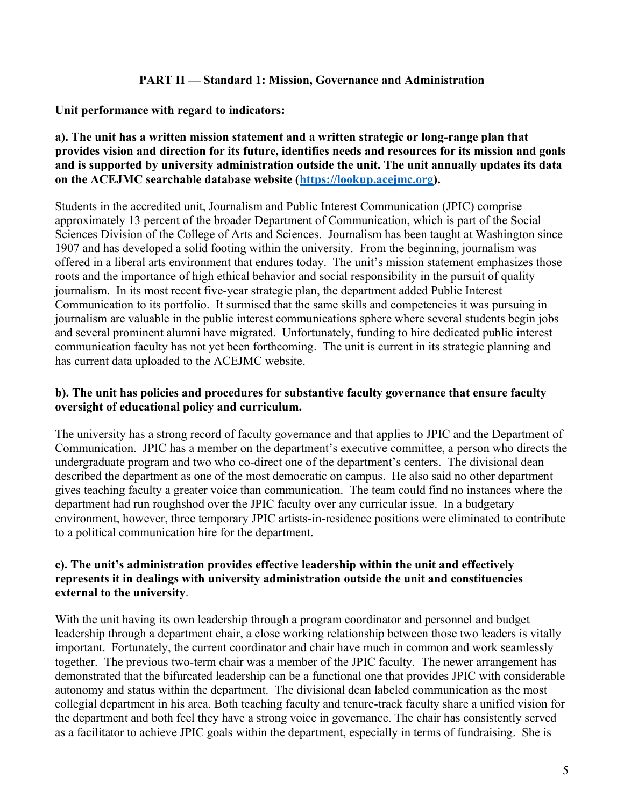#### **PART II — Standard 1: Mission, Governance and Administration**

**Unit performance with regard to indicators:**

### **a). The unit has a written mission statement and a written strategic or long-range plan that provides vision and direction for its future, identifies needs and resources for its mission and goals and is supported by university administration outside the unit. The unit annually updates its data on the ACEJMC searchable database website [\(https://lookup.acejmc.org\)](https://lookup.acejmc.org/).**

Students in the accredited unit, Journalism and Public Interest Communication (JPIC) comprise approximately 13 percent of the broader Department of Communication, which is part of the Social Sciences Division of the College of Arts and Sciences. Journalism has been taught at Washington since 1907 and has developed a solid footing within the university. From the beginning, journalism was offered in a liberal arts environment that endures today. The unit's mission statement emphasizes those roots and the importance of high ethical behavior and social responsibility in the pursuit of quality journalism. In its most recent five-year strategic plan, the department added Public Interest Communication to its portfolio. It surmised that the same skills and competencies it was pursuing in journalism are valuable in the public interest communications sphere where several students begin jobs and several prominent alumni have migrated. Unfortunately, funding to hire dedicated public interest communication faculty has not yet been forthcoming. The unit is current in its strategic planning and has current data uploaded to the ACEJMC website.

## **b). The unit has policies and procedures for substantive faculty governance that ensure faculty oversight of educational policy and curriculum.**

The university has a strong record of faculty governance and that applies to JPIC and the Department of Communication. JPIC has a member on the department's executive committee, a person who directs the undergraduate program and two who co-direct one of the department's centers. The divisional dean described the department as one of the most democratic on campus. He also said no other department gives teaching faculty a greater voice than communication. The team could find no instances where the department had run roughshod over the JPIC faculty over any curricular issue. In a budgetary environment, however, three temporary JPIC artists-in-residence positions were eliminated to contribute to a political communication hire for the department.

## **c). The unit's administration provides effective leadership within the unit and effectively represents it in dealings with university administration outside the unit and constituencies external to the university**.

With the unit having its own leadership through a program coordinator and personnel and budget leadership through a department chair, a close working relationship between those two leaders is vitally important. Fortunately, the current coordinator and chair have much in common and work seamlessly together. The previous two-term chair was a member of the JPIC faculty. The newer arrangement has demonstrated that the bifurcated leadership can be a functional one that provides JPIC with considerable autonomy and status within the department. The divisional dean labeled communication as the most collegial department in his area. Both teaching faculty and tenure-track faculty share a unified vision for the department and both feel they have a strong voice in governance. The chair has consistently served as a facilitator to achieve JPIC goals within the department, especially in terms of fundraising. She is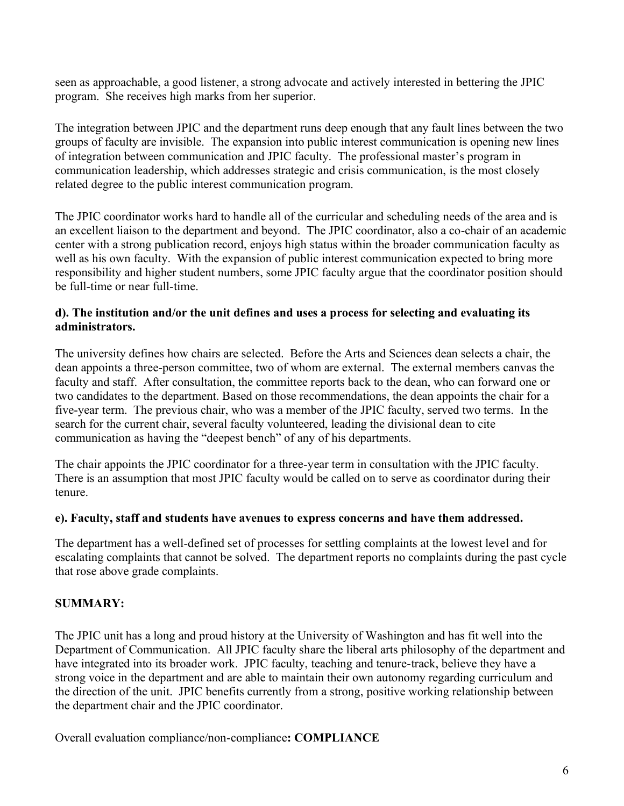seen as approachable, a good listener, a strong advocate and actively interested in bettering the JPIC program. She receives high marks from her superior.

The integration between JPIC and the department runs deep enough that any fault lines between the two groups of faculty are invisible. The expansion into public interest communication is opening new lines of integration between communication and JPIC faculty. The professional master's program in communication leadership, which addresses strategic and crisis communication, is the most closely related degree to the public interest communication program.

The JPIC coordinator works hard to handle all of the curricular and scheduling needs of the area and is an excellent liaison to the department and beyond. The JPIC coordinator, also a co-chair of an academic center with a strong publication record, enjoys high status within the broader communication faculty as well as his own faculty. With the expansion of public interest communication expected to bring more responsibility and higher student numbers, some JPIC faculty argue that the coordinator position should be full-time or near full-time.

### **d). The institution and/or the unit defines and uses a process for selecting and evaluating its administrators.**

The university defines how chairs are selected. Before the Arts and Sciences dean selects a chair, the dean appoints a three-person committee, two of whom are external. The external members canvas the faculty and staff. After consultation, the committee reports back to the dean, who can forward one or two candidates to the department. Based on those recommendations, the dean appoints the chair for a five-year term. The previous chair, who was a member of the JPIC faculty, served two terms. In the search for the current chair, several faculty volunteered, leading the divisional dean to cite communication as having the "deepest bench" of any of his departments.

The chair appoints the JPIC coordinator for a three-year term in consultation with the JPIC faculty. There is an assumption that most JPIC faculty would be called on to serve as coordinator during their tenure.

#### **e). Faculty, staff and students have avenues to express concerns and have them addressed.**

The department has a well-defined set of processes for settling complaints at the lowest level and for escalating complaints that cannot be solved. The department reports no complaints during the past cycle that rose above grade complaints.

## **SUMMARY:**

The JPIC unit has a long and proud history at the University of Washington and has fit well into the Department of Communication. All JPIC faculty share the liberal arts philosophy of the department and have integrated into its broader work. JPIC faculty, teaching and tenure-track, believe they have a strong voice in the department and are able to maintain their own autonomy regarding curriculum and the direction of the unit. JPIC benefits currently from a strong, positive working relationship between the department chair and the JPIC coordinator.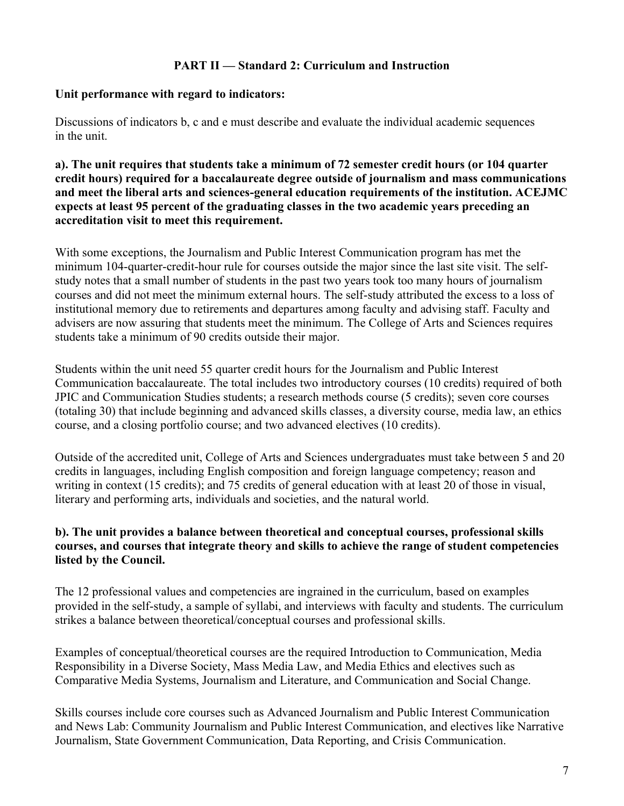## **PART II — Standard 2: Curriculum and Instruction**

#### **Unit performance with regard to indicators:**

Discussions of indicators b, c and e must describe and evaluate the individual academic sequences in the unit.

**a). The unit requires that students take a minimum of 72 semester credit hours (or 104 quarter credit hours) required for a baccalaureate degree outside of journalism and mass communications and meet the liberal arts and sciences-general education requirements of the institution. ACEJMC expects at least 95 percent of the graduating classes in the two academic years preceding an accreditation visit to meet this requirement.**

With some exceptions, the Journalism and Public Interest Communication program has met the minimum 104-quarter-credit-hour rule for courses outside the major since the last site visit. The selfstudy notes that a small number of students in the past two years took too many hours of journalism courses and did not meet the minimum external hours. The self-study attributed the excess to a loss of institutional memory due to retirements and departures among faculty and advising staff. Faculty and advisers are now assuring that students meet the minimum. The College of Arts and Sciences requires students take a minimum of 90 credits outside their major.

Students within the unit need 55 quarter credit hours for the Journalism and Public Interest Communication baccalaureate. The total includes two introductory courses (10 credits) required of both JPIC and Communication Studies students; a research methods course (5 credits); seven core courses (totaling 30) that include beginning and advanced skills classes, a diversity course, media law, an ethics course, and a closing portfolio course; and two advanced electives (10 credits).

Outside of the accredited unit, College of Arts and Sciences undergraduates must take between 5 and 20 credits in languages, including English composition and foreign language competency; reason and writing in context (15 credits); and 75 credits of general education with at least 20 of those in visual, literary and performing arts, individuals and societies, and the natural world.

## **b). The unit provides a balance between theoretical and conceptual courses, professional skills courses, and courses that integrate theory and skills to achieve the range of student competencies listed by the Council.**

The 12 professional values and competencies are ingrained in the curriculum, based on examples provided in the self-study, a sample of syllabi, and interviews with faculty and students. The curriculum strikes a balance between theoretical/conceptual courses and professional skills.

Examples of conceptual/theoretical courses are the required Introduction to Communication, Media Responsibility in a Diverse Society, Mass Media Law, and Media Ethics and electives such as Comparative Media Systems, Journalism and Literature, and Communication and Social Change.

Skills courses include core courses such as Advanced Journalism and Public Interest Communication and News Lab: Community Journalism and Public Interest Communication, and electives like Narrative Journalism, State Government Communication, Data Reporting, and Crisis Communication.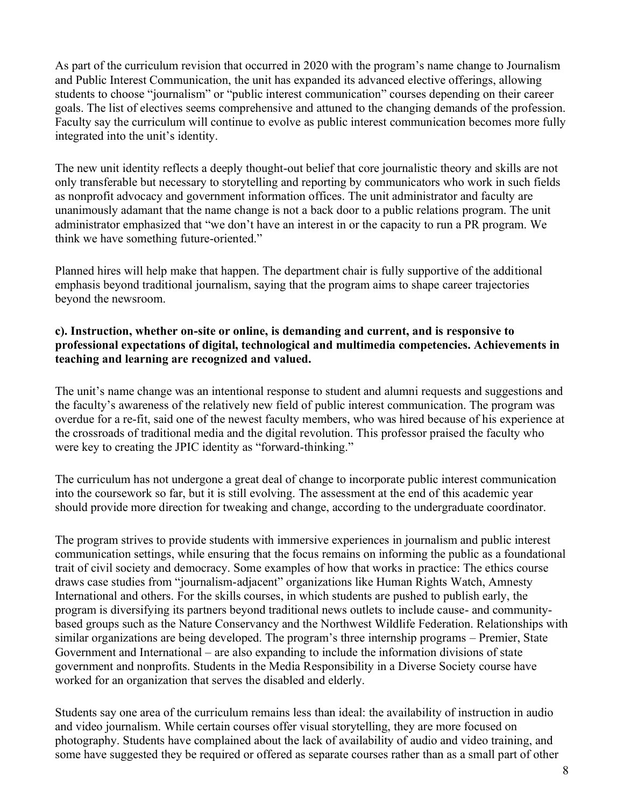As part of the curriculum revision that occurred in 2020 with the program's name change to Journalism and Public Interest Communication, the unit has expanded its advanced elective offerings, allowing students to choose "journalism" or "public interest communication" courses depending on their career goals. The list of electives seems comprehensive and attuned to the changing demands of the profession. Faculty say the curriculum will continue to evolve as public interest communication becomes more fully integrated into the unit's identity.

The new unit identity reflects a deeply thought-out belief that core journalistic theory and skills are not only transferable but necessary to storytelling and reporting by communicators who work in such fields as nonprofit advocacy and government information offices. The unit administrator and faculty are unanimously adamant that the name change is not a back door to a public relations program. The unit administrator emphasized that "we don't have an interest in or the capacity to run a PR program. We think we have something future-oriented."

Planned hires will help make that happen. The department chair is fully supportive of the additional emphasis beyond traditional journalism, saying that the program aims to shape career trajectories beyond the newsroom.

#### **c). Instruction, whether on-site or online, is demanding and current, and is responsive to professional expectations of digital, technological and multimedia competencies. Achievements in teaching and learning are recognized and valued.**

The unit's name change was an intentional response to student and alumni requests and suggestions and the faculty's awareness of the relatively new field of public interest communication. The program was overdue for a re-fit, said one of the newest faculty members, who was hired because of his experience at the crossroads of traditional media and the digital revolution. This professor praised the faculty who were key to creating the JPIC identity as "forward-thinking."

The curriculum has not undergone a great deal of change to incorporate public interest communication into the coursework so far, but it is still evolving. The assessment at the end of this academic year should provide more direction for tweaking and change, according to the undergraduate coordinator.

The program strives to provide students with immersive experiences in journalism and public interest communication settings, while ensuring that the focus remains on informing the public as a foundational trait of civil society and democracy. Some examples of how that works in practice: The ethics course draws case studies from "journalism-adjacent" organizations like Human Rights Watch, Amnesty International and others. For the skills courses, in which students are pushed to publish early, the program is diversifying its partners beyond traditional news outlets to include cause- and communitybased groups such as the Nature Conservancy and the Northwest Wildlife Federation. Relationships with similar organizations are being developed. The program's three internship programs – Premier, State Government and International – are also expanding to include the information divisions of state government and nonprofits. Students in the Media Responsibility in a Diverse Society course have worked for an organization that serves the disabled and elderly.

Students say one area of the curriculum remains less than ideal: the availability of instruction in audio and video journalism. While certain courses offer visual storytelling, they are more focused on photography. Students have complained about the lack of availability of audio and video training, and some have suggested they be required or offered as separate courses rather than as a small part of other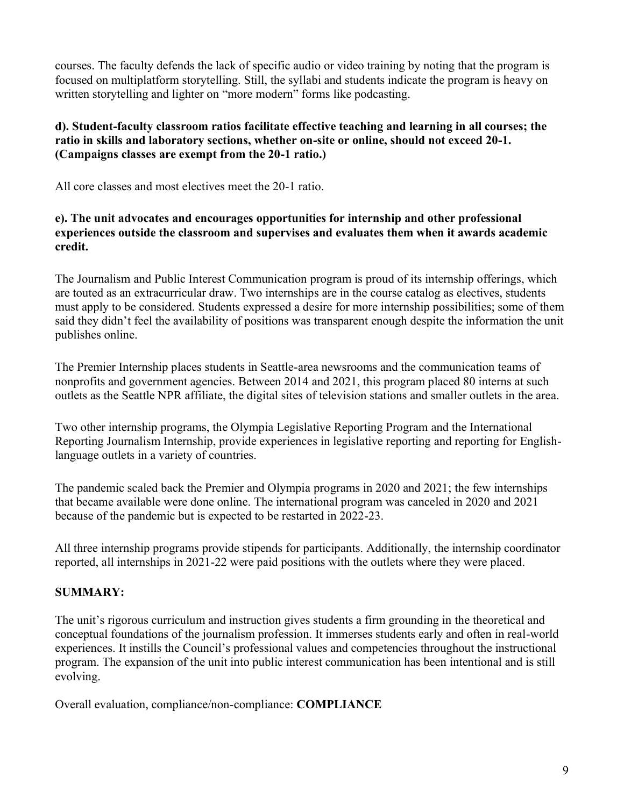courses. The faculty defends the lack of specific audio or video training by noting that the program is focused on multiplatform storytelling. Still, the syllabi and students indicate the program is heavy on written storytelling and lighter on "more modern" forms like podcasting.

## **d). Student-faculty classroom ratios facilitate effective teaching and learning in all courses; the ratio in skills and laboratory sections, whether on-site or online, should not exceed 20-1. (Campaigns classes are exempt from the 20-1 ratio.)**

All core classes and most electives meet the 20-1 ratio.

## **e). The unit advocates and encourages opportunities for internship and other professional experiences outside the classroom and supervises and evaluates them when it awards academic credit.**

The Journalism and Public Interest Communication program is proud of its internship offerings, which are touted as an extracurricular draw. Two internships are in the course catalog as electives, students must apply to be considered. Students expressed a desire for more internship possibilities; some of them said they didn't feel the availability of positions was transparent enough despite the information the unit publishes online.

The Premier Internship places students in Seattle-area newsrooms and the communication teams of nonprofits and government agencies. Between 2014 and 2021, this program placed 80 interns at such outlets as the Seattle NPR affiliate, the digital sites of television stations and smaller outlets in the area.

Two other internship programs, the Olympia Legislative Reporting Program and the International Reporting Journalism Internship, provide experiences in legislative reporting and reporting for Englishlanguage outlets in a variety of countries.

The pandemic scaled back the Premier and Olympia programs in 2020 and 2021; the few internships that became available were done online. The international program was canceled in 2020 and 2021 because of the pandemic but is expected to be restarted in 2022-23.

All three internship programs provide stipends for participants. Additionally, the internship coordinator reported, all internships in 2021-22 were paid positions with the outlets where they were placed.

## **SUMMARY:**

The unit's rigorous curriculum and instruction gives students a firm grounding in the theoretical and conceptual foundations of the journalism profession. It immerses students early and often in real-world experiences. It instills the Council's professional values and competencies throughout the instructional program. The expansion of the unit into public interest communication has been intentional and is still evolving.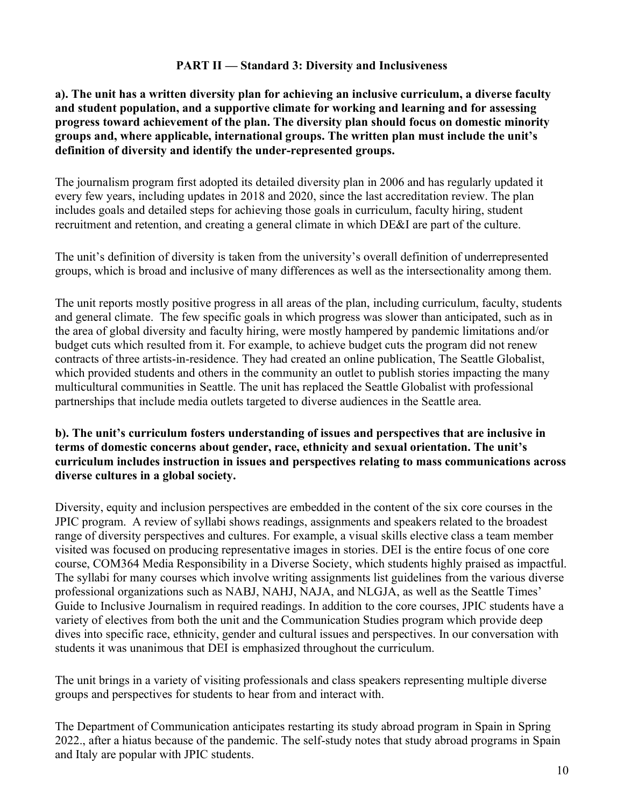#### **PART II — Standard 3: Diversity and Inclusiveness**

## **a). The unit has a written diversity plan for achieving an inclusive curriculum, a diverse faculty and student population, and a supportive climate for working and learning and for assessing progress toward achievement of the plan. The diversity plan should focus on domestic minority groups and, where applicable, international groups. The written plan must include the unit's definition of diversity and identify the under-represented groups.**

The journalism program first adopted its detailed diversity plan in 2006 and has regularly updated it every few years, including updates in 2018 and 2020, since the last accreditation review. The plan includes goals and detailed steps for achieving those goals in curriculum, faculty hiring, student recruitment and retention, and creating a general climate in which DE&I are part of the culture.

The unit's definition of diversity is taken from the university's overall definition of underrepresented groups, which is broad and inclusive of many differences as well as the intersectionality among them.

The unit reports mostly positive progress in all areas of the plan, including curriculum, faculty, students and general climate. The few specific goals in which progress was slower than anticipated, such as in the area of global diversity and faculty hiring, were mostly hampered by pandemic limitations and/or budget cuts which resulted from it. For example, to achieve budget cuts the program did not renew contracts of three artists-in-residence. They had created an online publication, The Seattle Globalist, which provided students and others in the community an outlet to publish stories impacting the many multicultural communities in Seattle. The unit has replaced the Seattle Globalist with professional partnerships that include media outlets targeted to diverse audiences in the Seattle area.

### **b). The unit's curriculum fosters understanding of issues and perspectives that are inclusive in terms of domestic concerns about gender, race, ethnicity and sexual orientation. The unit's curriculum includes instruction in issues and perspectives relating to mass communications across diverse cultures in a global society.**

Diversity, equity and inclusion perspectives are embedded in the content of the six core courses in the JPIC program. A review of syllabi shows readings, assignments and speakers related to the broadest range of diversity perspectives and cultures. For example, a visual skills elective class a team member visited was focused on producing representative images in stories. DEI is the entire focus of one core course, COM364 Media Responsibility in a Diverse Society, which students highly praised as impactful. The syllabi for many courses which involve writing assignments list guidelines from the various diverse professional organizations such as NABJ, NAHJ, NAJA, and NLGJA, as well as the Seattle Times' Guide to Inclusive Journalism in required readings. In addition to the core courses, JPIC students have a variety of electives from both the unit and the Communication Studies program which provide deep dives into specific race, ethnicity, gender and cultural issues and perspectives. In our conversation with students it was unanimous that DEI is emphasized throughout the curriculum.

The unit brings in a variety of visiting professionals and class speakers representing multiple diverse groups and perspectives for students to hear from and interact with.

The Department of Communication anticipates restarting its study abroad program in Spain in Spring 2022., after a hiatus because of the pandemic. The self-study notes that study abroad programs in Spain and Italy are popular with JPIC students.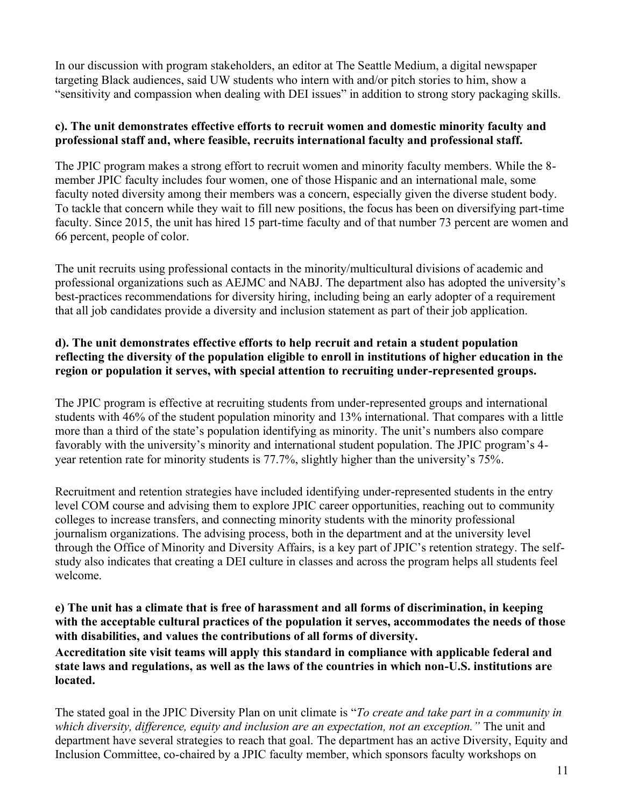In our discussion with program stakeholders, an editor at The Seattle Medium, a digital newspaper targeting Black audiences, said UW students who intern with and/or pitch stories to him, show a "sensitivity and compassion when dealing with DEI issues" in addition to strong story packaging skills.

## **c). The unit demonstrates effective efforts to recruit women and domestic minority faculty and professional staff and, where feasible, recruits international faculty and professional staff.**

The JPIC program makes a strong effort to recruit women and minority faculty members. While the 8 member JPIC faculty includes four women, one of those Hispanic and an international male, some faculty noted diversity among their members was a concern, especially given the diverse student body. To tackle that concern while they wait to fill new positions, the focus has been on diversifying part-time faculty. Since 2015, the unit has hired 15 part-time faculty and of that number 73 percent are women and 66 percent, people of color.

The unit recruits using professional contacts in the minority/multicultural divisions of academic and professional organizations such as AEJMC and NABJ. The department also has adopted the university's best-practices recommendations for diversity hiring, including being an early adopter of a requirement that all job candidates provide a diversity and inclusion statement as part of their job application.

## **d). The unit demonstrates effective efforts to help recruit and retain a student population reflecting the diversity of the population eligible to enroll in institutions of higher education in the region or population it serves, with special attention to recruiting under-represented groups.**

The JPIC program is effective at recruiting students from under-represented groups and international students with 46% of the student population minority and 13% international. That compares with a little more than a third of the state's population identifying as minority. The unit's numbers also compare favorably with the university's minority and international student population. The JPIC program's 4 year retention rate for minority students is 77.7%, slightly higher than the university's 75%.

Recruitment and retention strategies have included identifying under-represented students in the entry level COM course and advising them to explore JPIC career opportunities, reaching out to community colleges to increase transfers, and connecting minority students with the minority professional journalism organizations. The advising process, both in the department and at the university level through the Office of Minority and Diversity Affairs, is a key part of JPIC's retention strategy. The selfstudy also indicates that creating a DEI culture in classes and across the program helps all students feel welcome.

**e) The unit has a climate that is free of harassment and all forms of discrimination, in keeping with the acceptable cultural practices of the population it serves, accommodates the needs of those with disabilities, and values the contributions of all forms of diversity. Accreditation site visit teams will apply this standard in compliance with applicable federal and state laws and regulations, as well as the laws of the countries in which non-U.S. institutions are located.**

The stated goal in the JPIC Diversity Plan on unit climate is "*To create and take part in a community in which diversity, difference, equity and inclusion are an expectation, not an exception."* The unit and department have several strategies to reach that goal. The department has an active Diversity, Equity and Inclusion Committee, co-chaired by a JPIC faculty member, which sponsors faculty workshops on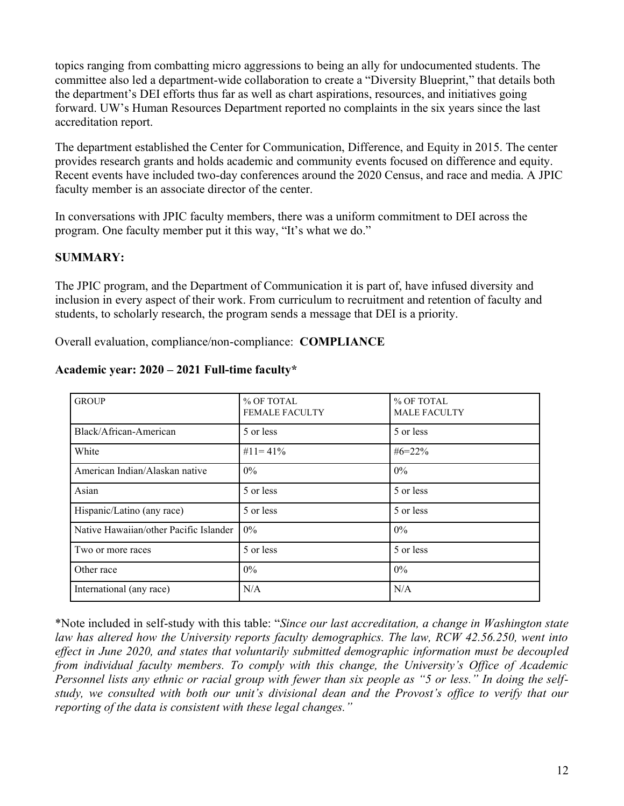topics ranging from combatting micro aggressions to being an ally for undocumented students. The committee also led a department-wide collaboration to create a "Diversity Blueprint," that details both the department's DEI efforts thus far as well as chart aspirations, resources, and initiatives going forward. UW's Human Resources Department reported no complaints in the six years since the last accreditation report.

The department established the Center for Communication, Difference, and Equity in 2015. The center provides research grants and holds academic and community events focused on difference and equity. Recent events have included two-day conferences around the 2020 Census, and race and media. A JPIC faculty member is an associate director of the center.

In conversations with JPIC faculty members, there was a uniform commitment to DEI across the program. One faculty member put it this way, "It's what we do."

## **SUMMARY:**

The JPIC program, and the Department of Communication it is part of, have infused diversity and inclusion in every aspect of their work. From curriculum to recruitment and retention of faculty and students, to scholarly research, the program sends a message that DEI is a priority.

Overall evaluation, compliance/non-compliance: **COMPLIANCE**

| <b>GROUP</b>                           | % OF TOTAL<br><b>FEMALE FACULTY</b> | % OF TOTAL<br><b>MALE FACULTY</b> |  |
|----------------------------------------|-------------------------------------|-----------------------------------|--|
| Black/African-American                 | 5 or less                           | 5 or less                         |  |
| White                                  | #11=41\%                            | $#6 = 22\%$                       |  |
| American Indian/Alaskan native         | $0\%$                               | $0\%$                             |  |
| Asian                                  | 5 or less                           | 5 or less                         |  |
| Hispanic/Latino (any race)             | 5 or less                           | 5 or less                         |  |
| Native Hawaiian/other Pacific Islander | $0\%$                               | $0\%$                             |  |
| Two or more races                      | 5 or less                           | 5 or less                         |  |
| Other race                             | $0\%$                               | 0%                                |  |
| International (any race)               | N/A                                 | N/A                               |  |
|                                        |                                     |                                   |  |

#### **Academic year: 2020 – 2021 Full-time faculty\***

\*Note included in self-study with this table: "*Since our last accreditation, a change in Washington state law has altered how the University reports faculty demographics. The law, RCW 42.56.250, went into effect in June 2020, and states that voluntarily submitted demographic information must be decoupled from individual faculty members. To comply with this change, the University's Office of Academic Personnel lists any ethnic or racial group with fewer than six people as "5 or less." In doing the selfstudy, we consulted with both our unit's divisional dean and the Provost's office to verify that our reporting of the data is consistent with these legal changes."*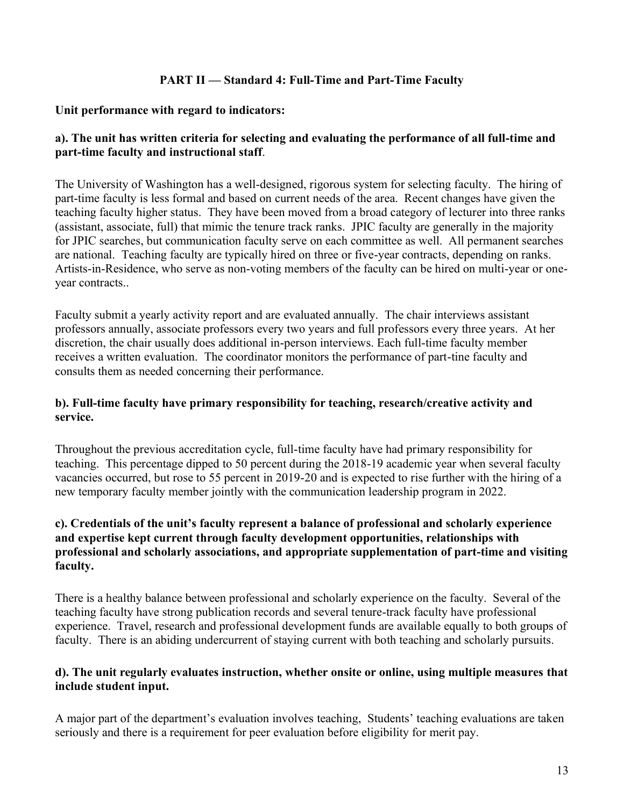## **PART II — Standard 4: Full-Time and Part-Time Faculty**

#### **Unit performance with regard to indicators:**

## **a). The unit has written criteria for selecting and evaluating the performance of all full-time and part-time faculty and instructional staff**.

The University of Washington has a well-designed, rigorous system for selecting faculty. The hiring of part-time faculty is less formal and based on current needs of the area. Recent changes have given the teaching faculty higher status. They have been moved from a broad category of lecturer into three ranks (assistant, associate, full) that mimic the tenure track ranks. JPIC faculty are generally in the majority for JPIC searches, but communication faculty serve on each committee as well. All permanent searches are national. Teaching faculty are typically hired on three or five-year contracts, depending on ranks. Artists-in-Residence, who serve as non-voting members of the faculty can be hired on multi-year or oneyear contracts..

Faculty submit a yearly activity report and are evaluated annually. The chair interviews assistant professors annually, associate professors every two years and full professors every three years. At her discretion, the chair usually does additional in-person interviews. Each full-time faculty member receives a written evaluation. The coordinator monitors the performance of part-tine faculty and consults them as needed concerning their performance.

## **b). Full-time faculty have primary responsibility for teaching, research/creative activity and service.**

Throughout the previous accreditation cycle, full-time faculty have had primary responsibility for teaching. This percentage dipped to 50 percent during the 2018-19 academic year when several faculty vacancies occurred, but rose to 55 percent in 2019-20 and is expected to rise further with the hiring of a new temporary faculty member jointly with the communication leadership program in 2022.

## **c). Credentials of the unit's faculty represent a balance of professional and scholarly experience and expertise kept current through faculty development opportunities, relationships with professional and scholarly associations, and appropriate supplementation of part-time and visiting faculty.**

There is a healthy balance between professional and scholarly experience on the faculty. Several of the teaching faculty have strong publication records and several tenure-track faculty have professional experience. Travel, research and professional development funds are available equally to both groups of faculty. There is an abiding undercurrent of staying current with both teaching and scholarly pursuits.

## **d). The unit regularly evaluates instruction, whether onsite or online, using multiple measures that include student input.**

A major part of the department's evaluation involves teaching, Students' teaching evaluations are taken seriously and there is a requirement for peer evaluation before eligibility for merit pay.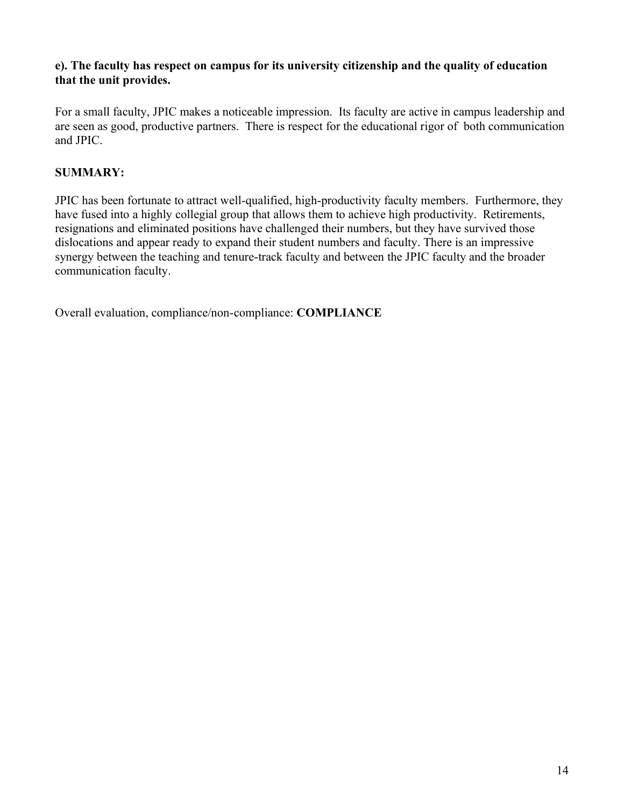## **e). The faculty has respect on campus for its university citizenship and the quality of education that the unit provides.**

For a small faculty, JPIC makes a noticeable impression. Its faculty are active in campus leadership and are seen as good, productive partners. There is respect for the educational rigor of both communication and JPIC.

## **SUMMARY:**

JPIC has been fortunate to attract well-qualified, high-productivity faculty members. Furthermore, they have fused into a highly collegial group that allows them to achieve high productivity. Retirements, resignations and eliminated positions have challenged their numbers, but they have survived those dislocations and appear ready to expand their student numbers and faculty. There is an impressive synergy between the teaching and tenure-track faculty and between the JPIC faculty and the broader communication faculty.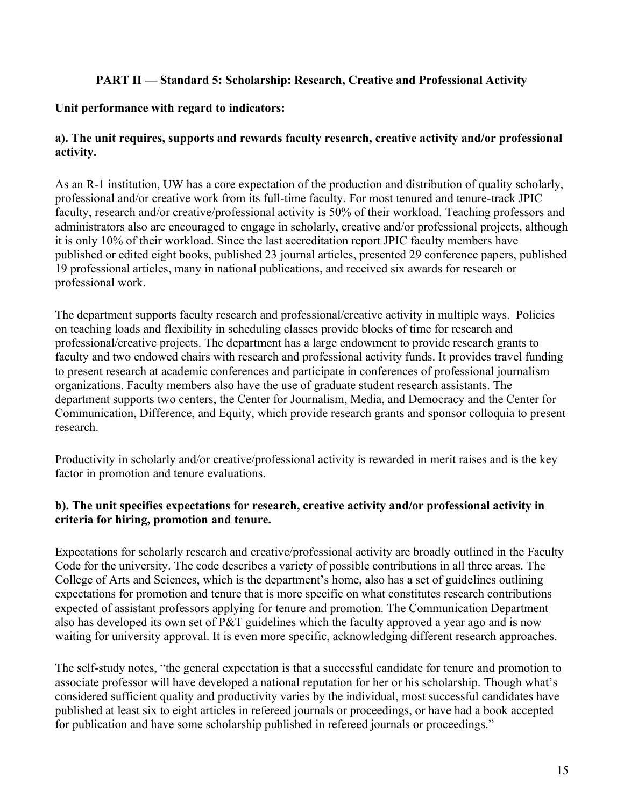## **PART II — Standard 5: Scholarship: Research, Creative and Professional Activity**

### **Unit performance with regard to indicators:**

## **a). The unit requires, supports and rewards faculty research, creative activity and/or professional activity.**

As an R-1 institution, UW has a core expectation of the production and distribution of quality scholarly, professional and/or creative work from its full-time faculty. For most tenured and tenure-track JPIC faculty, research and/or creative/professional activity is 50% of their workload. Teaching professors and administrators also are encouraged to engage in scholarly, creative and/or professional projects, although it is only 10% of their workload. Since the last accreditation report JPIC faculty members have published or edited eight books, published 23 journal articles, presented 29 conference papers, published 19 professional articles, many in national publications, and received six awards for research or professional work.

The department supports faculty research and professional/creative activity in multiple ways. Policies on teaching loads and flexibility in scheduling classes provide blocks of time for research and professional/creative projects. The department has a large endowment to provide research grants to faculty and two endowed chairs with research and professional activity funds. It provides travel funding to present research at academic conferences and participate in conferences of professional journalism organizations. Faculty members also have the use of graduate student research assistants. The department supports two centers, the Center for Journalism, Media, and Democracy and the Center for Communication, Difference, and Equity, which provide research grants and sponsor colloquia to present research.

Productivity in scholarly and/or creative/professional activity is rewarded in merit raises and is the key factor in promotion and tenure evaluations.

## **b). The unit specifies expectations for research, creative activity and/or professional activity in criteria for hiring, promotion and tenure.**

Expectations for scholarly research and creative/professional activity are broadly outlined in the Faculty Code for the university. The code describes a variety of possible contributions in all three areas. The College of Arts and Sciences, which is the department's home, also has a set of guidelines outlining expectations for promotion and tenure that is more specific on what constitutes research contributions expected of assistant professors applying for tenure and promotion. The Communication Department also has developed its own set of P&T guidelines which the faculty approved a year ago and is now waiting for university approval. It is even more specific, acknowledging different research approaches.

The self-study notes, "the general expectation is that a successful candidate for tenure and promotion to associate professor will have developed a national reputation for her or his scholarship. Though what's considered sufficient quality and productivity varies by the individual, most successful candidates have published at least six to eight articles in refereed journals or proceedings, or have had a book accepted for publication and have some scholarship published in refereed journals or proceedings."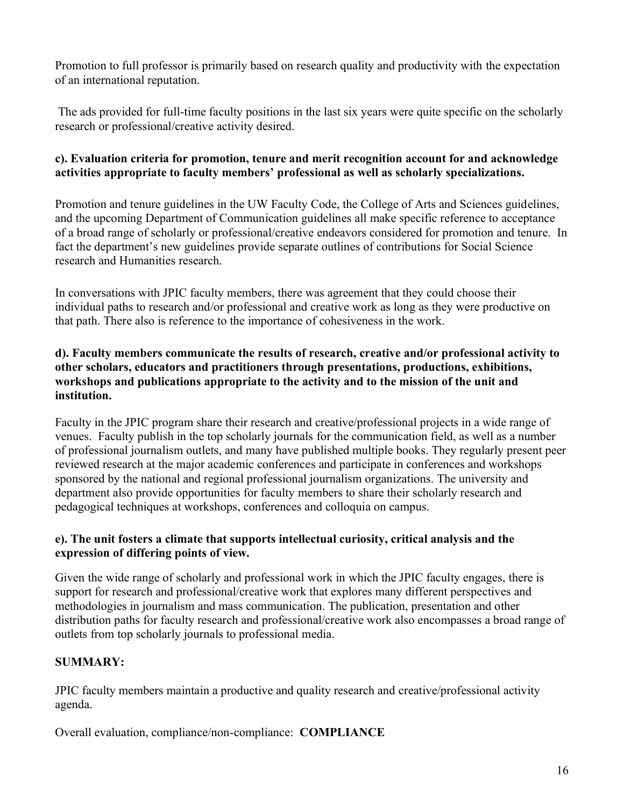Promotion to full professor is primarily based on research quality and productivity with the expectation of an international reputation.

The ads provided for full-time faculty positions in the last six years were quite specific on the scholarly research or professional/creative activity desired.

## **c). Evaluation criteria for promotion, tenure and merit recognition account for and acknowledge activities appropriate to faculty members' professional as well as scholarly specializations.**

Promotion and tenure guidelines in the UW Faculty Code, the College of Arts and Sciences guidelines, and the upcoming Department of Communication guidelines all make specific reference to acceptance of a broad range of scholarly or professional/creative endeavors considered for promotion and tenure. In fact the department's new guidelines provide separate outlines of contributions for Social Science research and Humanities research.

In conversations with JPIC faculty members, there was agreement that they could choose their individual paths to research and/or professional and creative work as long as they were productive on that path. There also is reference to the importance of cohesiveness in the work.

## **d). Faculty members communicate the results of research, creative and/or professional activity to other scholars, educators and practitioners through presentations, productions, exhibitions, workshops and publications appropriate to the activity and to the mission of the unit and institution.**

Faculty in the JPIC program share their research and creative/professional projects in a wide range of venues. Faculty publish in the top scholarly journals for the communication field, as well as a number of professional journalism outlets, and many have published multiple books. They regularly present peer reviewed research at the major academic conferences and participate in conferences and workshops sponsored by the national and regional professional journalism organizations. The university and department also provide opportunities for faculty members to share their scholarly research and pedagogical techniques at workshops, conferences and colloquia on campus.

## **e). The unit fosters a climate that supports intellectual curiosity, critical analysis and the expression of differing points of view.**

Given the wide range of scholarly and professional work in which the JPIC faculty engages, there is support for research and professional/creative work that explores many different perspectives and methodologies in journalism and mass communication. The publication, presentation and other distribution paths for faculty research and professional/creative work also encompasses a broad range of outlets from top scholarly journals to professional media.

## **SUMMARY:**

JPIC faculty members maintain a productive and quality research and creative/professional activity agenda.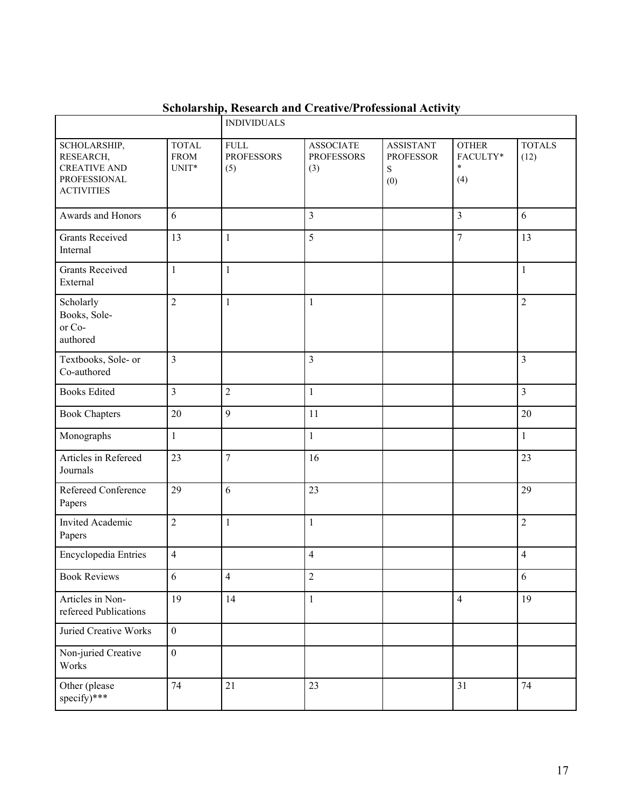|                                                                                       |                                        | <b>INDIVIDUALS</b>                       |                                              |                                                  |                                           |                       |
|---------------------------------------------------------------------------------------|----------------------------------------|------------------------------------------|----------------------------------------------|--------------------------------------------------|-------------------------------------------|-----------------------|
| SCHOLARSHIP,<br>RESEARCH,<br><b>CREATIVE AND</b><br>PROFESSIONAL<br><b>ACTIVITIES</b> | <b>TOTAL</b><br><b>FROM</b><br>$UNIT*$ | ${\rm FULL}$<br><b>PROFESSORS</b><br>(5) | <b>ASSOCIATE</b><br><b>PROFESSORS</b><br>(3) | <b>ASSISTANT</b><br><b>PROFESSOR</b><br>S<br>(0) | <b>OTHER</b><br>FACULTY*<br>$\ast$<br>(4) | <b>TOTALS</b><br>(12) |
| Awards and Honors                                                                     | 6                                      |                                          | $\overline{3}$                               |                                                  | $\overline{3}$                            | 6                     |
| <b>Grants Received</b><br>Internal                                                    | 13                                     | $\mathbf{1}$                             | 5                                            |                                                  | $\overline{7}$                            | 13                    |
| <b>Grants Received</b><br>External                                                    | $\mathbf{1}$                           | $\mathbf{1}$                             |                                              |                                                  |                                           | $\mathbf{1}$          |
| Scholarly<br>Books, Sole-<br>or Co-<br>authored                                       | $\overline{2}$                         | $\mathbf{1}$                             | $\mathbf{1}$                                 |                                                  |                                           | $\overline{2}$        |
| Textbooks, Sole- or<br>Co-authored                                                    | $\overline{3}$                         |                                          | $\overline{3}$                               |                                                  |                                           | 3                     |
| <b>Books Edited</b>                                                                   | $\overline{\mathbf{3}}$                | $\overline{2}$                           | $\mathbf{1}$                                 |                                                  |                                           | $\overline{3}$        |
| <b>Book Chapters</b>                                                                  | 20                                     | 9                                        | 11                                           |                                                  |                                           | 20                    |
| Monographs                                                                            | $\mathbf{1}$                           |                                          | $\mathbf{1}$                                 |                                                  |                                           | $\mathbf{1}$          |
| Articles in Refereed<br>Journals                                                      | 23                                     | $\overline{7}$                           | 16                                           |                                                  |                                           | 23                    |
| Refereed Conference<br>Papers                                                         | 29                                     | 6                                        | 23                                           |                                                  |                                           | 29                    |
| Invited Academic<br>Papers                                                            | $\overline{2}$                         | $\mathbf{1}$                             | $\mathbf{1}$                                 |                                                  |                                           | $\overline{c}$        |
| Encyclopedia Entries                                                                  | $\overline{4}$                         |                                          | $\overline{4}$                               |                                                  |                                           | $\overline{4}$        |
| <b>Book Reviews</b>                                                                   | $\sqrt{6}$                             | 4                                        | $\overline{c}$                               |                                                  |                                           | $\sqrt{6}$            |
| Articles in Non-<br>refereed Publications                                             | 19                                     | 14                                       | $\mathbf{1}$                                 |                                                  | $\overline{\mathcal{L}}$                  | 19                    |
| Juried Creative Works                                                                 | $\boldsymbol{0}$                       |                                          |                                              |                                                  |                                           |                       |
| Non-juried Creative<br>Works                                                          | $\boldsymbol{0}$                       |                                          |                                              |                                                  |                                           |                       |
| Other (please<br>specify)***                                                          | 74                                     | 21                                       | 23                                           |                                                  | 31                                        | 74                    |

# **Scholarship, Research and Creative/Professional Activity**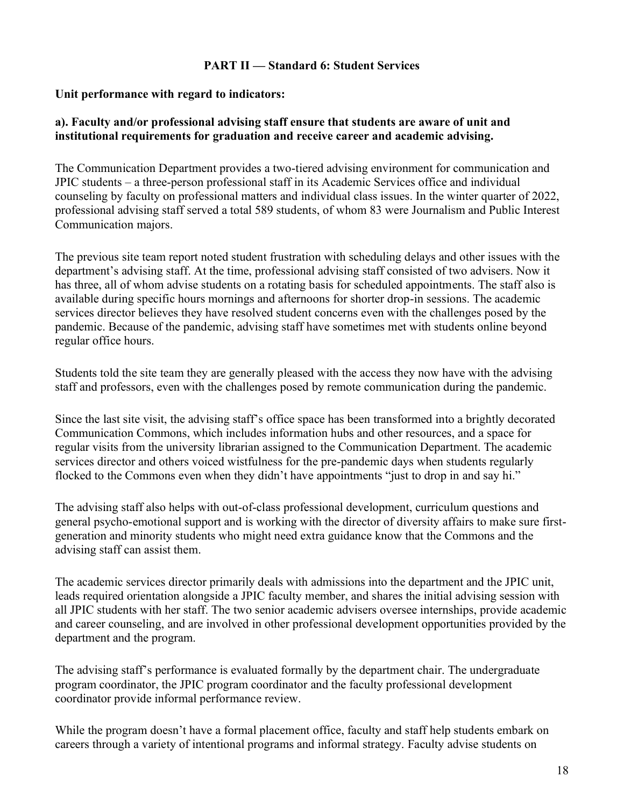#### **PART II — Standard 6: Student Services**

#### **Unit performance with regard to indicators:**

#### **a). Faculty and/or professional advising staff ensure that students are aware of unit and institutional requirements for graduation and receive career and academic advising.**

The Communication Department provides a two-tiered advising environment for communication and JPIC students – a three-person professional staff in its Academic Services office and individual counseling by faculty on professional matters and individual class issues. In the winter quarter of 2022, professional advising staff served a total 589 students, of whom 83 were Journalism and Public Interest Communication majors.

The previous site team report noted student frustration with scheduling delays and other issues with the department's advising staff. At the time, professional advising staff consisted of two advisers. Now it has three, all of whom advise students on a rotating basis for scheduled appointments. The staff also is available during specific hours mornings and afternoons for shorter drop-in sessions. The academic services director believes they have resolved student concerns even with the challenges posed by the pandemic. Because of the pandemic, advising staff have sometimes met with students online beyond regular office hours.

Students told the site team they are generally pleased with the access they now have with the advising staff and professors, even with the challenges posed by remote communication during the pandemic.

Since the last site visit, the advising staff's office space has been transformed into a brightly decorated Communication Commons, which includes information hubs and other resources, and a space for regular visits from the university librarian assigned to the Communication Department. The academic services director and others voiced wistfulness for the pre-pandemic days when students regularly flocked to the Commons even when they didn't have appointments "just to drop in and say hi."

The advising staff also helps with out-of-class professional development, curriculum questions and general psycho-emotional support and is working with the director of diversity affairs to make sure firstgeneration and minority students who might need extra guidance know that the Commons and the advising staff can assist them.

The academic services director primarily deals with admissions into the department and the JPIC unit, leads required orientation alongside a JPIC faculty member, and shares the initial advising session with all JPIC students with her staff. The two senior academic advisers oversee internships, provide academic and career counseling, and are involved in other professional development opportunities provided by the department and the program.

The advising staff's performance is evaluated formally by the department chair. The undergraduate program coordinator, the JPIC program coordinator and the faculty professional development coordinator provide informal performance review.

While the program doesn't have a formal placement office, faculty and staff help students embark on careers through a variety of intentional programs and informal strategy. Faculty advise students on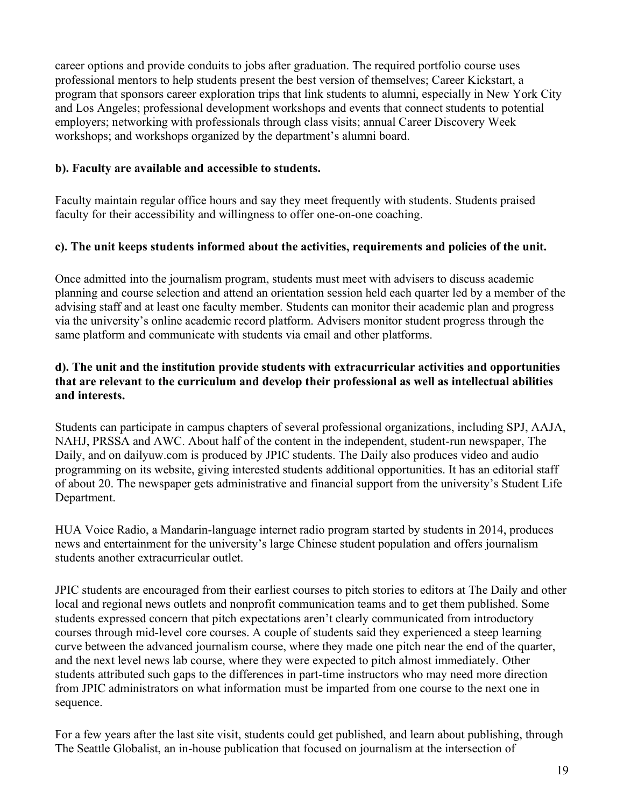career options and provide conduits to jobs after graduation. The required portfolio course uses professional mentors to help students present the best version of themselves; Career Kickstart, a program that sponsors career exploration trips that link students to alumni, especially in New York City and Los Angeles; professional development workshops and events that connect students to potential employers; networking with professionals through class visits; annual Career Discovery Week workshops; and workshops organized by the department's alumni board.

## **b). Faculty are available and accessible to students.**

Faculty maintain regular office hours and say they meet frequently with students. Students praised faculty for their accessibility and willingness to offer one-on-one coaching.

## **c). The unit keeps students informed about the activities, requirements and policies of the unit.**

Once admitted into the journalism program, students must meet with advisers to discuss academic planning and course selection and attend an orientation session held each quarter led by a member of the advising staff and at least one faculty member. Students can monitor their academic plan and progress via the university's online academic record platform. Advisers monitor student progress through the same platform and communicate with students via email and other platforms.

## **d). The unit and the institution provide students with extracurricular activities and opportunities that are relevant to the curriculum and develop their professional as well as intellectual abilities and interests.**

Students can participate in campus chapters of several professional organizations, including SPJ, AAJA, NAHJ, PRSSA and AWC. About half of the content in the independent, student-run newspaper, The Daily, and on dailyuw.com is produced by JPIC students. The Daily also produces video and audio programming on its website, giving interested students additional opportunities. It has an editorial staff of about 20. The newspaper gets administrative and financial support from the university's Student Life Department.

HUA Voice Radio, a Mandarin-language internet radio program started by students in 2014, produces news and entertainment for the university's large Chinese student population and offers journalism students another extracurricular outlet.

JPIC students are encouraged from their earliest courses to pitch stories to editors at The Daily and other local and regional news outlets and nonprofit communication teams and to get them published. Some students expressed concern that pitch expectations aren't clearly communicated from introductory courses through mid-level core courses. A couple of students said they experienced a steep learning curve between the advanced journalism course, where they made one pitch near the end of the quarter, and the next level news lab course, where they were expected to pitch almost immediately. Other students attributed such gaps to the differences in part-time instructors who may need more direction from JPIC administrators on what information must be imparted from one course to the next one in sequence.

For a few years after the last site visit, students could get published, and learn about publishing, through The Seattle Globalist, an in-house publication that focused on journalism at the intersection of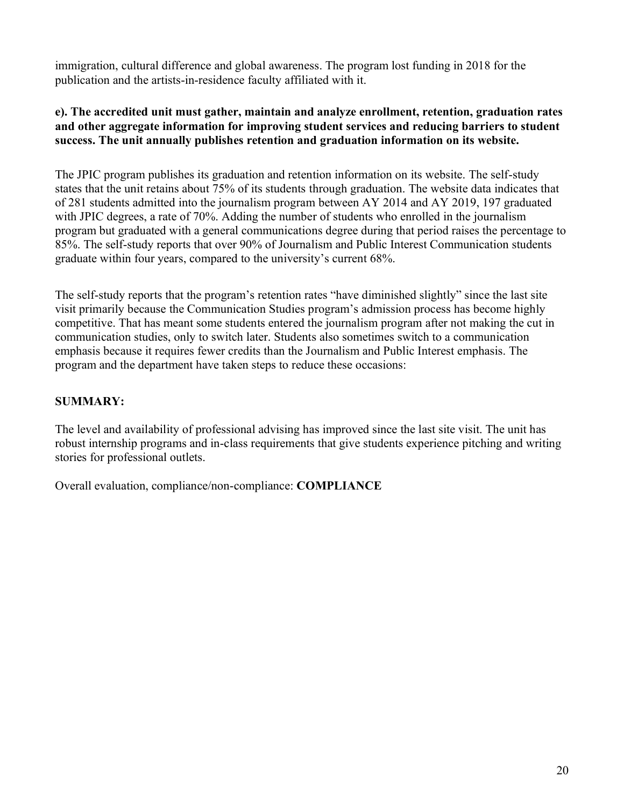immigration, cultural difference and global awareness. The program lost funding in 2018 for the publication and the artists-in-residence faculty affiliated with it.

## **e). The accredited unit must gather, maintain and analyze enrollment, retention, graduation rates and other aggregate information for improving student services and reducing barriers to student success. The unit annually publishes retention and graduation information on its website.**

The JPIC program publishes its graduation and retention information on its website. The self-study states that the unit retains about 75% of its students through graduation. The website data indicates that of 281 students admitted into the journalism program between AY 2014 and AY 2019, 197 graduated with JPIC degrees, a rate of 70%. Adding the number of students who enrolled in the journalism program but graduated with a general communications degree during that period raises the percentage to 85%. The self-study reports that over 90% of Journalism and Public Interest Communication students graduate within four years, compared to the university's current 68%.

The self-study reports that the program's retention rates "have diminished slightly" since the last site visit primarily because the Communication Studies program's admission process has become highly competitive. That has meant some students entered the journalism program after not making the cut in communication studies, only to switch later. Students also sometimes switch to a communication emphasis because it requires fewer credits than the Journalism and Public Interest emphasis. The program and the department have taken steps to reduce these occasions:

## **SUMMARY:**

The level and availability of professional advising has improved since the last site visit. The unit has robust internship programs and in-class requirements that give students experience pitching and writing stories for professional outlets.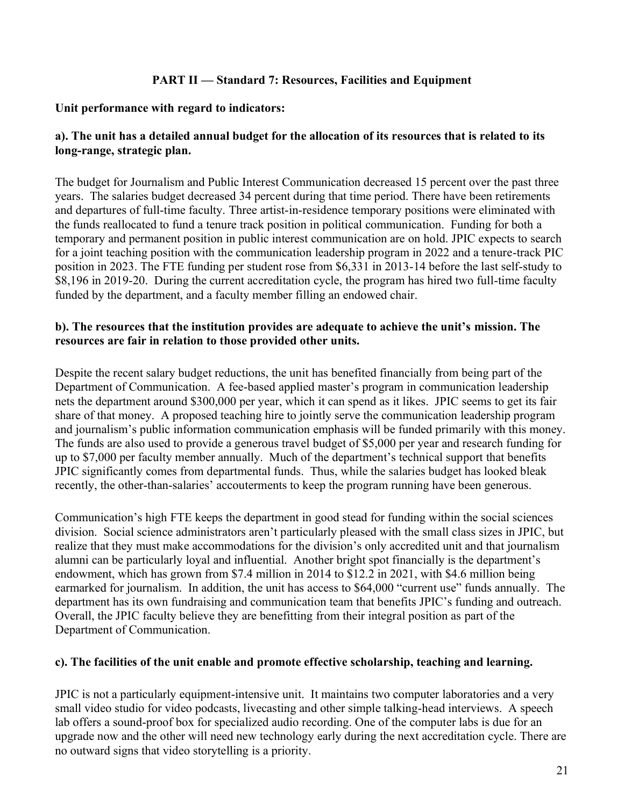## **PART II — Standard 7: Resources, Facilities and Equipment**

#### **Unit performance with regard to indicators:**

## **a). The unit has a detailed annual budget for the allocation of its resources that is related to its long-range, strategic plan.**

The budget for Journalism and Public Interest Communication decreased 15 percent over the past three years. The salaries budget decreased 34 percent during that time period. There have been retirements and departures of full-time faculty. Three artist-in-residence temporary positions were eliminated with the funds reallocated to fund a tenure track position in political communication. Funding for both a temporary and permanent position in public interest communication are on hold. JPIC expects to search for a joint teaching position with the communication leadership program in 2022 and a tenure-track PIC position in 2023. The FTE funding per student rose from \$6,331 in 2013-14 before the last self-study to \$8,196 in 2019-20. During the current accreditation cycle, the program has hired two full-time faculty funded by the department, and a faculty member filling an endowed chair.

### **b). The resources that the institution provides are adequate to achieve the unit's mission. The resources are fair in relation to those provided other units.**

Despite the recent salary budget reductions, the unit has benefited financially from being part of the Department of Communication. A fee-based applied master's program in communication leadership nets the department around \$300,000 per year, which it can spend as it likes. JPIC seems to get its fair share of that money. A proposed teaching hire to jointly serve the communication leadership program and journalism's public information communication emphasis will be funded primarily with this money. The funds are also used to provide a generous travel budget of \$5,000 per year and research funding for up to \$7,000 per faculty member annually. Much of the department's technical support that benefits JPIC significantly comes from departmental funds. Thus, while the salaries budget has looked bleak recently, the other-than-salaries' accouterments to keep the program running have been generous.

Communication's high FTE keeps the department in good stead for funding within the social sciences division. Social science administrators aren't particularly pleased with the small class sizes in JPIC, but realize that they must make accommodations for the division's only accredited unit and that journalism alumni can be particularly loyal and influential. Another bright spot financially is the department's endowment, which has grown from \$7.4 million in 2014 to \$12.2 in 2021, with \$4.6 million being earmarked for journalism. In addition, the unit has access to \$64,000 "current use" funds annually. The department has its own fundraising and communication team that benefits JPIC's funding and outreach. Overall, the JPIC faculty believe they are benefitting from their integral position as part of the Department of Communication.

## **c). The facilities of the unit enable and promote effective scholarship, teaching and learning.**

JPIC is not a particularly equipment-intensive unit. It maintains two computer laboratories and a very small video studio for video podcasts, livecasting and other simple talking-head interviews. A speech lab offers a sound-proof box for specialized audio recording. One of the computer labs is due for an upgrade now and the other will need new technology early during the next accreditation cycle. There are no outward signs that video storytelling is a priority.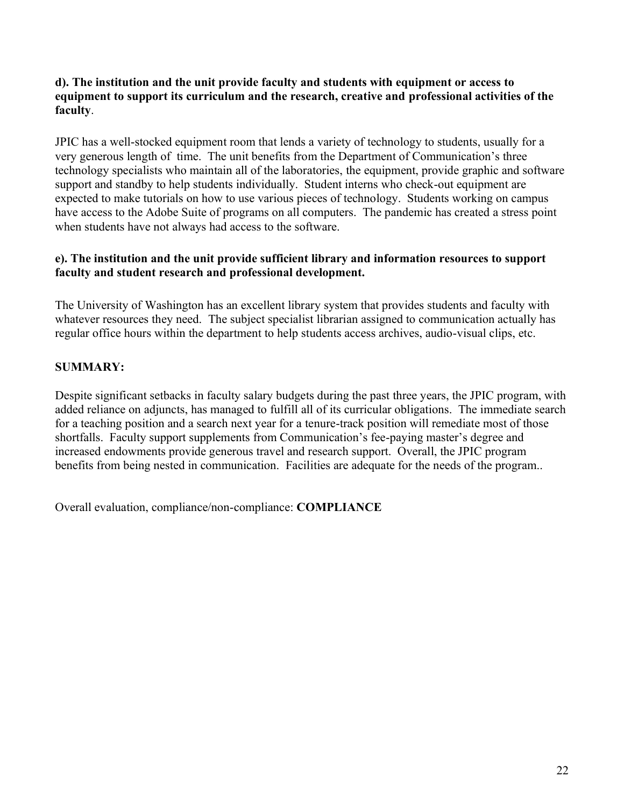#### **d). The institution and the unit provide faculty and students with equipment or access to equipment to support its curriculum and the research, creative and professional activities of the faculty**.

JPIC has a well-stocked equipment room that lends a variety of technology to students, usually for a very generous length of time. The unit benefits from the Department of Communication's three technology specialists who maintain all of the laboratories, the equipment, provide graphic and software support and standby to help students individually. Student interns who check-out equipment are expected to make tutorials on how to use various pieces of technology. Students working on campus have access to the Adobe Suite of programs on all computers. The pandemic has created a stress point when students have not always had access to the software.

## **e). The institution and the unit provide sufficient library and information resources to support faculty and student research and professional development.**

The University of Washington has an excellent library system that provides students and faculty with whatever resources they need. The subject specialist librarian assigned to communication actually has regular office hours within the department to help students access archives, audio-visual clips, etc.

## **SUMMARY:**

Despite significant setbacks in faculty salary budgets during the past three years, the JPIC program, with added reliance on adjuncts, has managed to fulfill all of its curricular obligations. The immediate search for a teaching position and a search next year for a tenure-track position will remediate most of those shortfalls. Faculty support supplements from Communication's fee-paying master's degree and increased endowments provide generous travel and research support. Overall, the JPIC program benefits from being nested in communication. Facilities are adequate for the needs of the program..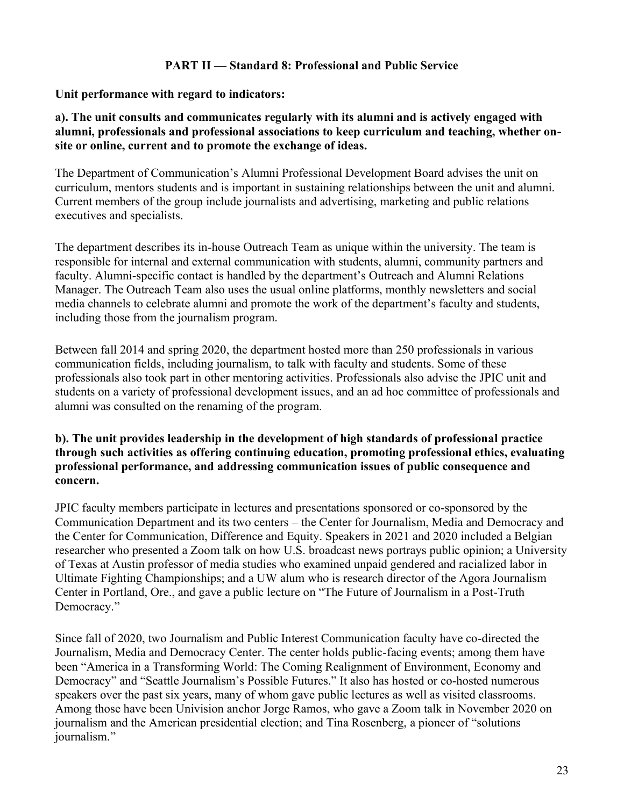### **PART II — Standard 8: Professional and Public Service**

#### **Unit performance with regard to indicators:**

### **a). The unit consults and communicates regularly with its alumni and is actively engaged with alumni, professionals and professional associations to keep curriculum and teaching, whether onsite or online, current and to promote the exchange of ideas.**

The Department of Communication's Alumni Professional Development Board advises the unit on curriculum, mentors students and is important in sustaining relationships between the unit and alumni. Current members of the group include journalists and advertising, marketing and public relations executives and specialists.

The department describes its in-house Outreach Team as unique within the university. The team is responsible for internal and external communication with students, alumni, community partners and faculty. Alumni-specific contact is handled by the department's Outreach and Alumni Relations Manager. The Outreach Team also uses the usual online platforms, monthly newsletters and social media channels to celebrate alumni and promote the work of the department's faculty and students, including those from the journalism program.

Between fall 2014 and spring 2020, the department hosted more than 250 professionals in various communication fields, including journalism, to talk with faculty and students. Some of these professionals also took part in other mentoring activities. Professionals also advise the JPIC unit and students on a variety of professional development issues, and an ad hoc committee of professionals and alumni was consulted on the renaming of the program.

#### **b). The unit provides leadership in the development of high standards of professional practice through such activities as offering continuing education, promoting professional ethics, evaluating professional performance, and addressing communication issues of public consequence and concern.**

JPIC faculty members participate in lectures and presentations sponsored or co-sponsored by the Communication Department and its two centers – the Center for Journalism, Media and Democracy and the Center for Communication, Difference and Equity. Speakers in 2021 and 2020 included a Belgian researcher who presented a Zoom talk on how U.S. broadcast news portrays public opinion; a University of Texas at Austin professor of media studies who examined unpaid gendered and racialized labor in Ultimate Fighting Championships; and a UW alum who is research director of the Agora Journalism Center in Portland, Ore., and gave a public lecture on "The Future of Journalism in a Post-Truth Democracy."

Since fall of 2020, two Journalism and Public Interest Communication faculty have co-directed the Journalism, Media and Democracy Center. The center holds public-facing events; among them have been "America in a Transforming World: The Coming Realignment of Environment, Economy and Democracy" and "Seattle Journalism's Possible Futures." It also has hosted or co-hosted numerous speakers over the past six years, many of whom gave public lectures as well as visited classrooms. Among those have been Univision anchor Jorge Ramos, who gave a Zoom talk in November 2020 on journalism and the American presidential election; and Tina Rosenberg, a pioneer of "solutions journalism."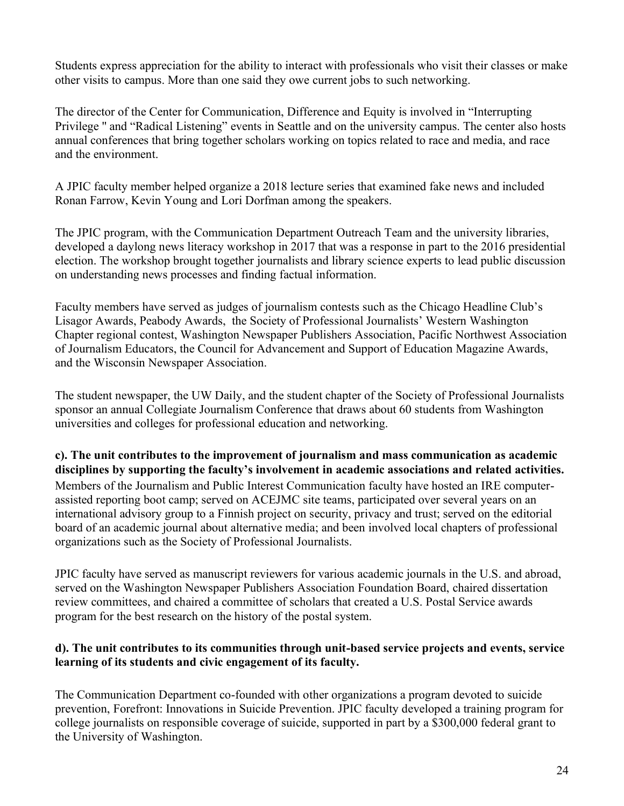Students express appreciation for the ability to interact with professionals who visit their classes or make other visits to campus. More than one said they owe current jobs to such networking.

The director of the Center for Communication, Difference and Equity is involved in "Interrupting Privilege '' and "Radical Listening" events in Seattle and on the university campus. The center also hosts annual conferences that bring together scholars working on topics related to race and media, and race and the environment.

A JPIC faculty member helped organize a 2018 lecture series that examined fake news and included Ronan Farrow, Kevin Young and Lori Dorfman among the speakers.

The JPIC program, with the Communication Department Outreach Team and the university libraries, developed a daylong news literacy workshop in 2017 that was a response in part to the 2016 presidential election. The workshop brought together journalists and library science experts to lead public discussion on understanding news processes and finding factual information.

Faculty members have served as judges of journalism contests such as the Chicago Headline Club's Lisagor Awards, Peabody Awards, the Society of Professional Journalists' Western Washington Chapter regional contest, Washington Newspaper Publishers Association, Pacific Northwest Association of Journalism Educators, the Council for Advancement and Support of Education Magazine Awards, and the Wisconsin Newspaper Association.

The student newspaper, the UW Daily, and the student chapter of the Society of Professional Journalists sponsor an annual Collegiate Journalism Conference that draws about 60 students from Washington universities and colleges for professional education and networking.

**c). The unit contributes to the improvement of journalism and mass communication as academic disciplines by supporting the faculty's involvement in academic associations and related activities.** Members of the Journalism and Public Interest Communication faculty have hosted an IRE computerassisted reporting boot camp; served on ACEJMC site teams, participated over several years on an international advisory group to a Finnish project on security, privacy and trust; served on the editorial board of an academic journal about alternative media; and been involved local chapters of professional organizations such as the Society of Professional Journalists.

JPIC faculty have served as manuscript reviewers for various academic journals in the U.S. and abroad, served on the Washington Newspaper Publishers Association Foundation Board, chaired dissertation review committees, and chaired a committee of scholars that created a U.S. Postal Service awards program for the best research on the history of the postal system.

## **d). The unit contributes to its communities through unit-based service projects and events, service learning of its students and civic engagement of its faculty.**

The Communication Department co-founded with other organizations a program devoted to suicide prevention, Forefront: Innovations in Suicide Prevention. JPIC faculty developed a training program for college journalists on responsible coverage of suicide, supported in part by a \$300,000 federal grant to the University of Washington.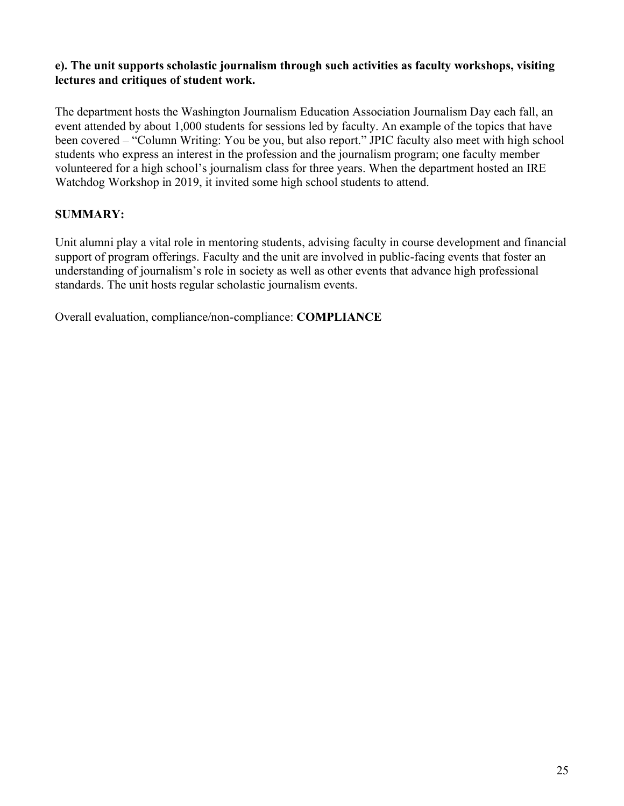## **e). The unit supports scholastic journalism through such activities as faculty workshops, visiting lectures and critiques of student work.**

The department hosts the Washington Journalism Education Association Journalism Day each fall, an event attended by about 1,000 students for sessions led by faculty. An example of the topics that have been covered – "Column Writing: You be you, but also report." JPIC faculty also meet with high school students who express an interest in the profession and the journalism program; one faculty member volunteered for a high school's journalism class for three years. When the department hosted an IRE Watchdog Workshop in 2019, it invited some high school students to attend.

## **SUMMARY:**

Unit alumni play a vital role in mentoring students, advising faculty in course development and financial support of program offerings. Faculty and the unit are involved in public-facing events that foster an understanding of journalism's role in society as well as other events that advance high professional standards. The unit hosts regular scholastic journalism events.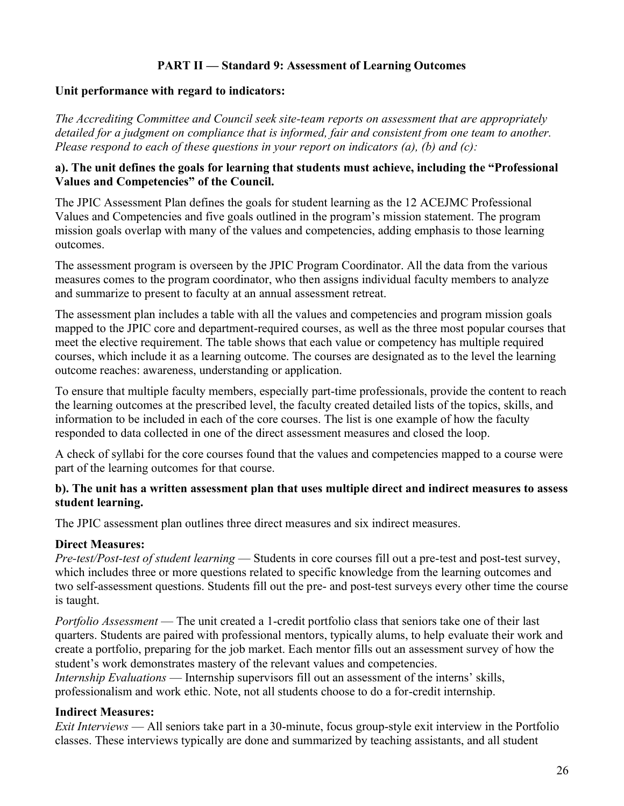## **PART II — Standard 9: Assessment of Learning Outcomes**

#### **Unit performance with regard to indicators:**

*The Accrediting Committee and Council seek site-team reports on assessment that are appropriately detailed for a judgment on compliance that is informed, fair and consistent from one team to another. Please respond to each of these questions in your report on indicators (a), (b) and (c):*

#### **a). The unit defines the goals for learning that students must achieve, including the "Professional Values and Competencies" of the Council.**

The JPIC Assessment Plan defines the goals for student learning as the 12 ACEJMC Professional Values and Competencies and five goals outlined in the program's mission statement. The program mission goals overlap with many of the values and competencies, adding emphasis to those learning outcomes.

The assessment program is overseen by the JPIC Program Coordinator. All the data from the various measures comes to the program coordinator, who then assigns individual faculty members to analyze and summarize to present to faculty at an annual assessment retreat.

The assessment plan includes a table with all the values and competencies and program mission goals mapped to the JPIC core and department-required courses, as well as the three most popular courses that meet the elective requirement. The table shows that each value or competency has multiple required courses, which include it as a learning outcome. The courses are designated as to the level the learning outcome reaches: awareness, understanding or application.

To ensure that multiple faculty members, especially part-time professionals, provide the content to reach the learning outcomes at the prescribed level, the faculty created detailed lists of the topics, skills, and information to be included in each of the core courses. The list is one example of how the faculty responded to data collected in one of the direct assessment measures and closed the loop.

A check of syllabi for the core courses found that the values and competencies mapped to a course were part of the learning outcomes for that course.

## **b). The unit has a written assessment plan that uses multiple direct and indirect measures to assess student learning.**

The JPIC assessment plan outlines three direct measures and six indirect measures.

## **Direct Measures:**

*Pre-test/Post-test of student learning* — Students in core courses fill out a pre-test and post-test survey, which includes three or more questions related to specific knowledge from the learning outcomes and two self-assessment questions. Students fill out the pre- and post-test surveys every other time the course is taught.

*Portfolio Assessment* — The unit created a 1-credit portfolio class that seniors take one of their last quarters. Students are paired with professional mentors, typically alums, to help evaluate their work and create a portfolio, preparing for the job market. Each mentor fills out an assessment survey of how the student's work demonstrates mastery of the relevant values and competencies.

*Internship Evaluations* — Internship supervisors fill out an assessment of the interns' skills, professionalism and work ethic. Note, not all students choose to do a for-credit internship.

## **Indirect Measures:**

*Exit Interviews* — All seniors take part in a 30-minute, focus group-style exit interview in the Portfolio classes. These interviews typically are done and summarized by teaching assistants, and all student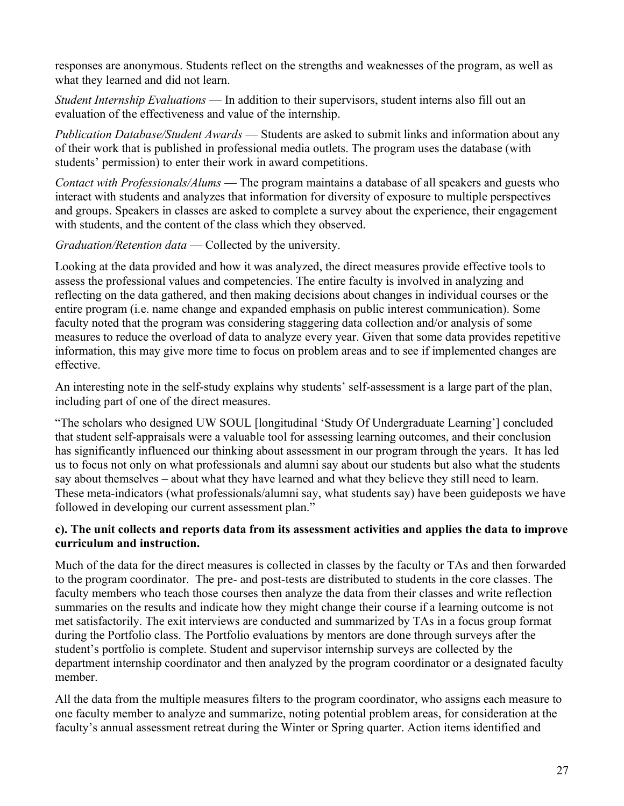responses are anonymous. Students reflect on the strengths and weaknesses of the program, as well as what they learned and did not learn.

*Student Internship Evaluations* — In addition to their supervisors, student interns also fill out an evaluation of the effectiveness and value of the internship.

*Publication Database/Student Awards* — Students are asked to submit links and information about any of their work that is published in professional media outlets. The program uses the database (with students' permission) to enter their work in award competitions.

*Contact with Professionals/Alums* — The program maintains a database of all speakers and guests who interact with students and analyzes that information for diversity of exposure to multiple perspectives and groups. Speakers in classes are asked to complete a survey about the experience, their engagement with students, and the content of the class which they observed.

*Graduation/Retention data* — Collected by the university.

Looking at the data provided and how it was analyzed, the direct measures provide effective tools to assess the professional values and competencies. The entire faculty is involved in analyzing and reflecting on the data gathered, and then making decisions about changes in individual courses or the entire program (i.e. name change and expanded emphasis on public interest communication). Some faculty noted that the program was considering staggering data collection and/or analysis of some measures to reduce the overload of data to analyze every year. Given that some data provides repetitive information, this may give more time to focus on problem areas and to see if implemented changes are effective.

An interesting note in the self-study explains why students' self-assessment is a large part of the plan, including part of one of the direct measures.

"The scholars who designed UW SOUL [longitudinal 'Study Of Undergraduate Learning'] concluded that student self-appraisals were a valuable tool for assessing learning outcomes, and their conclusion has significantly influenced our thinking about assessment in our program through the years. It has led us to focus not only on what professionals and alumni say about our students but also what the students say about themselves – about what they have learned and what they believe they still need to learn. These meta-indicators (what professionals/alumni say, what students say) have been guideposts we have followed in developing our current assessment plan."

## **c). The unit collects and reports data from its assessment activities and applies the data to improve curriculum and instruction.**

Much of the data for the direct measures is collected in classes by the faculty or TAs and then forwarded to the program coordinator. The pre- and post-tests are distributed to students in the core classes. The faculty members who teach those courses then analyze the data from their classes and write reflection summaries on the results and indicate how they might change their course if a learning outcome is not met satisfactorily. The exit interviews are conducted and summarized by TAs in a focus group format during the Portfolio class. The Portfolio evaluations by mentors are done through surveys after the student's portfolio is complete. Student and supervisor internship surveys are collected by the department internship coordinator and then analyzed by the program coordinator or a designated faculty member.

All the data from the multiple measures filters to the program coordinator, who assigns each measure to one faculty member to analyze and summarize, noting potential problem areas, for consideration at the faculty's annual assessment retreat during the Winter or Spring quarter. Action items identified and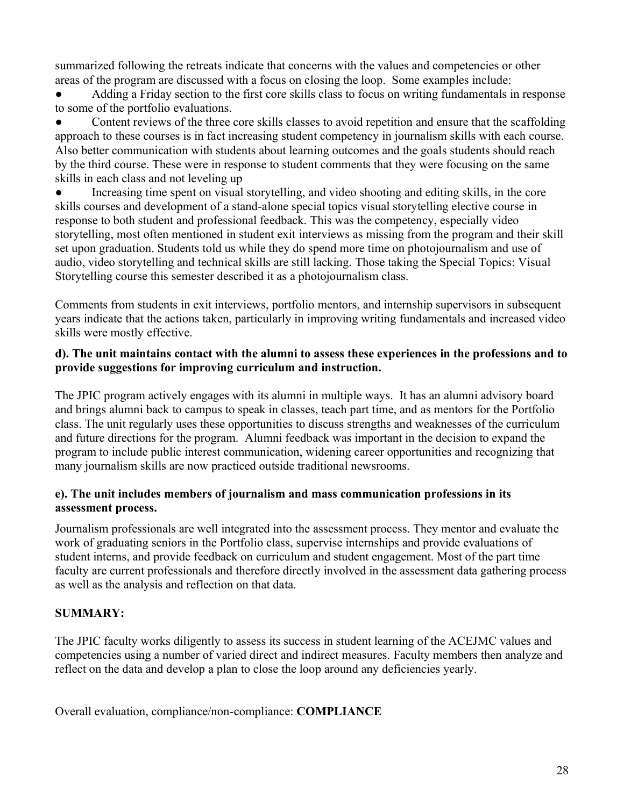summarized following the retreats indicate that concerns with the values and competencies or other areas of the program are discussed with a focus on closing the loop. Some examples include:

Adding a Friday section to the first core skills class to focus on writing fundamentals in response to some of the portfolio evaluations.

Content reviews of the three core skills classes to avoid repetition and ensure that the scaffolding approach to these courses is in fact increasing student competency in journalism skills with each course. Also better communication with students about learning outcomes and the goals students should reach by the third course. These were in response to student comments that they were focusing on the same skills in each class and not leveling up

Increasing time spent on visual storytelling, and video shooting and editing skills, in the core skills courses and development of a stand-alone special topics visual storytelling elective course in response to both student and professional feedback. This was the competency, especially video storytelling, most often mentioned in student exit interviews as missing from the program and their skill set upon graduation. Students told us while they do spend more time on photojournalism and use of audio, video storytelling and technical skills are still lacking. Those taking the Special Topics: Visual Storytelling course this semester described it as a photojournalism class.

Comments from students in exit interviews, portfolio mentors, and internship supervisors in subsequent years indicate that the actions taken, particularly in improving writing fundamentals and increased video skills were mostly effective.

## **d). The unit maintains contact with the alumni to assess these experiences in the professions and to provide suggestions for improving curriculum and instruction.**

The JPIC program actively engages with its alumni in multiple ways. It has an alumni advisory board and brings alumni back to campus to speak in classes, teach part time, and as mentors for the Portfolio class. The unit regularly uses these opportunities to discuss strengths and weaknesses of the curriculum and future directions for the program. Alumni feedback was important in the decision to expand the program to include public interest communication, widening career opportunities and recognizing that many journalism skills are now practiced outside traditional newsrooms.

## **e). The unit includes members of journalism and mass communication professions in its assessment process.**

Journalism professionals are well integrated into the assessment process. They mentor and evaluate the work of graduating seniors in the Portfolio class, supervise internships and provide evaluations of student interns, and provide feedback on curriculum and student engagement. Most of the part time faculty are current professionals and therefore directly involved in the assessment data gathering process as well as the analysis and reflection on that data.

# **SUMMARY:**

The JPIC faculty works diligently to assess its success in student learning of the ACEJMC values and competencies using a number of varied direct and indirect measures. Faculty members then analyze and reflect on the data and develop a plan to close the loop around any deficiencies yearly.